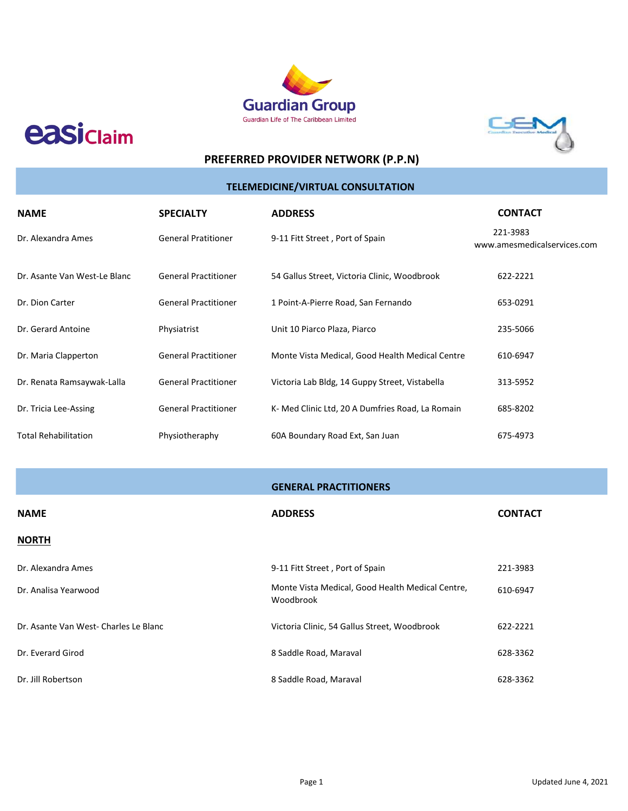

**easiclaim** 



# **PREFERRED PROVIDER NETWORK (P.P.N)**

# **TELEMEDICINE/VIRTUAL CONSULTATION**

| <b>NAME</b>                  | <b>SPECIALTY</b>            | <b>ADDRESS</b>                                   | <b>CONTACT</b>                          |
|------------------------------|-----------------------------|--------------------------------------------------|-----------------------------------------|
| Dr. Alexandra Ames           | <b>General Pratitioner</b>  | 9-11 Fitt Street, Port of Spain                  | 221-3983<br>www.amesmedicalservices.com |
| Dr. Asante Van West-Le Blanc | <b>General Practitioner</b> | 54 Gallus Street, Victoria Clinic, Woodbrook     | 622-2221                                |
| Dr. Dion Carter              | <b>General Practitioner</b> | 1 Point-A-Pierre Road, San Fernando              | 653-0291                                |
| Dr. Gerard Antoine           | Physiatrist                 | Unit 10 Piarco Plaza, Piarco                     | 235-5066                                |
| Dr. Maria Clapperton         | <b>General Practitioner</b> | Monte Vista Medical, Good Health Medical Centre  | 610-6947                                |
| Dr. Renata Ramsaywak-Lalla   | <b>General Practitioner</b> | Victoria Lab Bldg, 14 Guppy Street, Vistabella   | 313-5952                                |
| Dr. Tricia Lee-Assing        | <b>General Practitioner</b> | K- Med Clinic Ltd, 20 A Dumfries Road, La Romain | 685-8202                                |
| <b>Total Rehabilitation</b>  | Physiotheraphy              | 60A Boundary Road Ext, San Juan                  | 675-4973                                |

| <b>NAME</b>                          | <b>ADDRESS</b>                                                | <b>CONTACT</b> |
|--------------------------------------|---------------------------------------------------------------|----------------|
| <b>NORTH</b>                         |                                                               |                |
| Dr. Alexandra Ames                   | 9-11 Fitt Street, Port of Spain                               | 221-3983       |
| Dr. Analisa Yearwood                 | Monte Vista Medical, Good Health Medical Centre,<br>Woodbrook | 610-6947       |
| Dr. Asante Van West-Charles Le Blanc | Victoria Clinic, 54 Gallus Street, Woodbrook                  | 622-2221       |
| Dr. Everard Girod                    | 8 Saddle Road, Maraval                                        | 628-3362       |
| Dr. Jill Robertson                   | 8 Saddle Road, Maraval                                        | 628-3362       |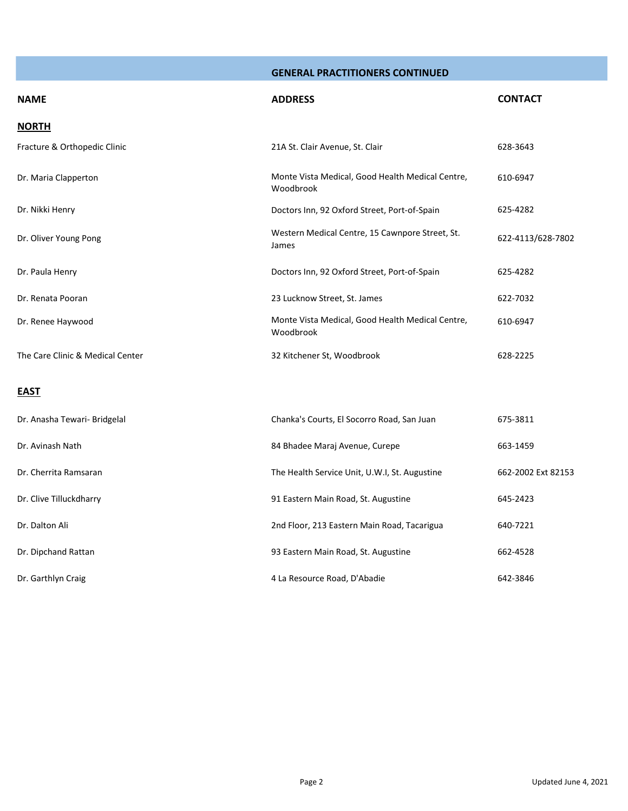| <b>NAME</b>                      | <b>ADDRESS</b>                                                | <b>CONTACT</b>    |
|----------------------------------|---------------------------------------------------------------|-------------------|
| <b>NORTH</b>                     |                                                               |                   |
| Fracture & Orthopedic Clinic     | 21A St. Clair Avenue, St. Clair                               | 628-3643          |
| Dr. Maria Clapperton             | Monte Vista Medical, Good Health Medical Centre,<br>Woodbrook | 610-6947          |
| Dr. Nikki Henry                  | Doctors Inn, 92 Oxford Street, Port-of-Spain                  | 625-4282          |
| Dr. Oliver Young Pong            | Western Medical Centre, 15 Cawnpore Street, St.<br>James      | 622-4113/628-7802 |
| Dr. Paula Henry                  | Doctors Inn, 92 Oxford Street, Port-of-Spain                  | 625-4282          |
| Dr. Renata Pooran                | 23 Lucknow Street, St. James                                  | 622-7032          |
| Dr. Renee Haywood                | Monte Vista Medical, Good Health Medical Centre,<br>Woodbrook | 610-6947          |
| The Care Clinic & Medical Center | 32 Kitchener St, Woodbrook                                    | 628-2225          |
| <b>EAST</b>                      |                                                               |                   |

# Dr. Anasha Tewari- Bridgelal Chanka's Courts, El Socorro Road, San Juan 675-3811 Dr. Avinash Nath 84 Bhadee Maraj Avenue, Curepe 663-1459 Dr. Cherrita Ramsaran The Health Service Unit, U.W.I, St. Augustine 662-2002 Ext 82153 Dr. Clive Tilluckdharry 91 Eastern Main Road, St. Augustine 645-2423 Dr. Dalton Ali 2nd Floor, 213 Eastern Main Road, Tacarigua 640-7221 Dr. Dipchand Rattan 93 Eastern Main Road, St. Augustine 662-4528 Dr. Garthlyn Craig 4 La Resource Road, D'Abadie 642-3846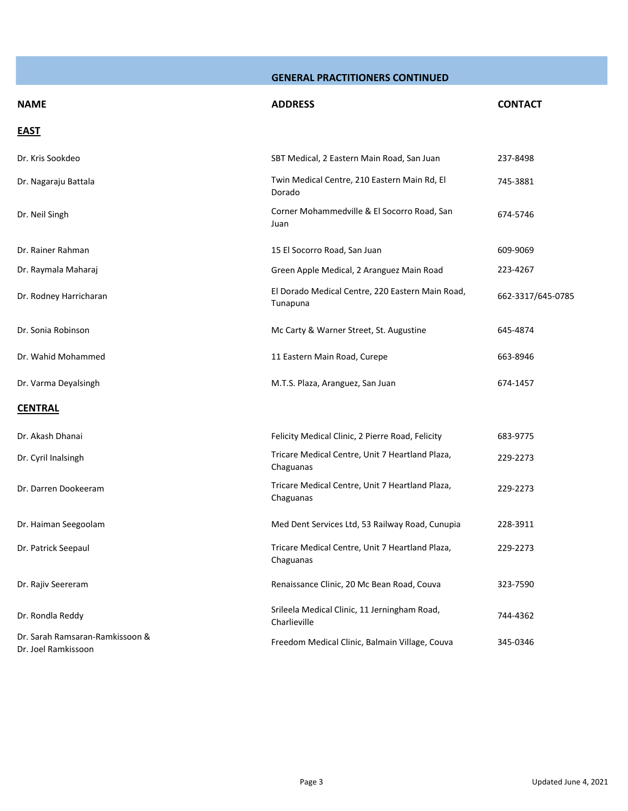| <b>NAME</b>                                            | <b>ADDRESS</b>                                               | <b>CONTACT</b>    |
|--------------------------------------------------------|--------------------------------------------------------------|-------------------|
| <b>EAST</b>                                            |                                                              |                   |
| Dr. Kris Sookdeo                                       | SBT Medical, 2 Eastern Main Road, San Juan                   | 237-8498          |
| Dr. Nagaraju Battala                                   | Twin Medical Centre, 210 Eastern Main Rd, El<br>Dorado       | 745-3881          |
| Dr. Neil Singh                                         | Corner Mohammedville & El Socorro Road, San<br>Juan          | 674-5746          |
| Dr. Rainer Rahman                                      | 15 El Socorro Road, San Juan                                 | 609-9069          |
| Dr. Raymala Maharaj                                    | Green Apple Medical, 2 Aranguez Main Road                    | 223-4267          |
| Dr. Rodney Harricharan                                 | El Dorado Medical Centre, 220 Eastern Main Road,<br>Tunapuna | 662-3317/645-0785 |
| Dr. Sonia Robinson                                     | Mc Carty & Warner Street, St. Augustine                      | 645-4874          |
| Dr. Wahid Mohammed                                     | 11 Eastern Main Road, Curepe                                 | 663-8946          |
| Dr. Varma Deyalsingh                                   | M.T.S. Plaza, Aranguez, San Juan                             | 674-1457          |
| <b>CENTRAL</b>                                         |                                                              |                   |
| Dr. Akash Dhanai                                       | Felicity Medical Clinic, 2 Pierre Road, Felicity             | 683-9775          |
| Dr. Cyril Inalsingh                                    | Tricare Medical Centre, Unit 7 Heartland Plaza,<br>Chaguanas | 229-2273          |
| Dr. Darren Dookeeram                                   | Tricare Medical Centre, Unit 7 Heartland Plaza,<br>Chaguanas | 229-2273          |
| Dr. Haiman Seegoolam                                   | Med Dent Services Ltd, 53 Railway Road, Cunupia              | 228-3911          |
| Dr. Patrick Seepaul                                    | Tricare Medical Centre, Unit 7 Heartland Plaza,<br>Chaguanas | 229-2273          |
| Dr. Rajiv Seereram                                     | Renaissance Clinic, 20 Mc Bean Road, Couva                   | 323-7590          |
| Dr. Rondla Reddy                                       | Srileela Medical Clinic, 11 Jerningham Road,<br>Charlieville | 744-4362          |
| Dr. Sarah Ramsaran-Ramkissoon &<br>Dr. Joel Ramkissoon | Freedom Medical Clinic, Balmain Village, Couva               | 345-0346          |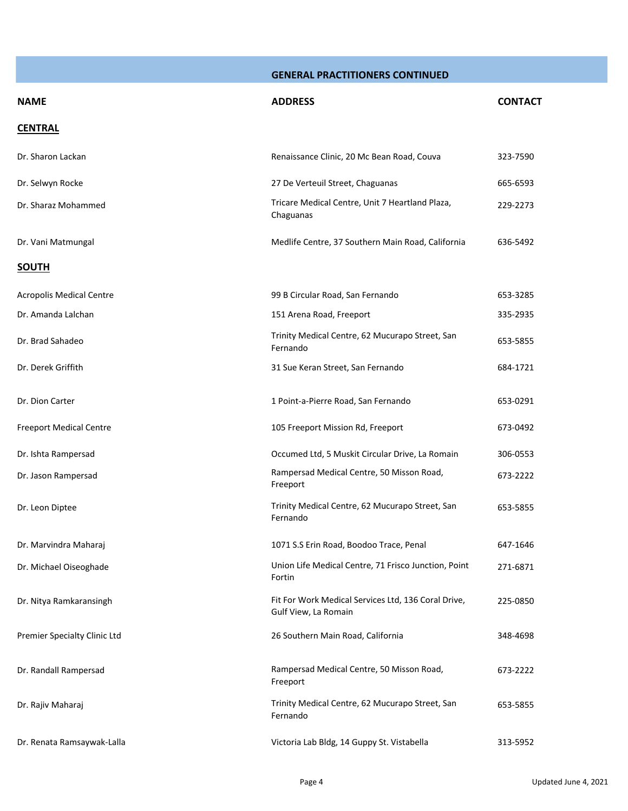| <b>NAME</b>                     | <b>ADDRESS</b>                                                              | <b>CONTACT</b> |
|---------------------------------|-----------------------------------------------------------------------------|----------------|
| <b>CENTRAL</b>                  |                                                                             |                |
| Dr. Sharon Lackan               | Renaissance Clinic, 20 Mc Bean Road, Couva                                  | 323-7590       |
| Dr. Selwyn Rocke                | 27 De Verteuil Street, Chaguanas                                            | 665-6593       |
| Dr. Sharaz Mohammed             | Tricare Medical Centre, Unit 7 Heartland Plaza,<br>Chaguanas                | 229-2273       |
| Dr. Vani Matmungal              | Medlife Centre, 37 Southern Main Road, California                           | 636-5492       |
| <b>SOUTH</b>                    |                                                                             |                |
| <b>Acropolis Medical Centre</b> | 99 B Circular Road, San Fernando                                            | 653-3285       |
| Dr. Amanda Lalchan              | 151 Arena Road, Freeport                                                    | 335-2935       |
| Dr. Brad Sahadeo                | Trinity Medical Centre, 62 Mucurapo Street, San<br>Fernando                 | 653-5855       |
| Dr. Derek Griffith              | 31 Sue Keran Street, San Fernando                                           | 684-1721       |
| Dr. Dion Carter                 | 1 Point-a-Pierre Road, San Fernando                                         | 653-0291       |
| <b>Freeport Medical Centre</b>  | 105 Freeport Mission Rd, Freeport                                           | 673-0492       |
| Dr. Ishta Rampersad             | Occumed Ltd, 5 Muskit Circular Drive, La Romain                             | 306-0553       |
| Dr. Jason Rampersad             | Rampersad Medical Centre, 50 Misson Road,<br>Freeport                       | 673-2222       |
| Dr. Leon Diptee                 | Trinity Medical Centre, 62 Mucurapo Street, San<br>Fernando                 | 653-5855       |
| Dr. Marvindra Maharaj           | 1071 S.S Erin Road, Boodoo Trace, Penal                                     | 647-1646       |
| Dr. Michael Oiseoghade          | Union Life Medical Centre, 71 Frisco Junction, Point<br>Fortin              | 271-6871       |
| Dr. Nitya Ramkaransingh         | Fit For Work Medical Services Ltd, 136 Coral Drive,<br>Gulf View, La Romain | 225-0850       |
| Premier Specialty Clinic Ltd    | 26 Southern Main Road, California                                           | 348-4698       |
| Dr. Randall Rampersad           | Rampersad Medical Centre, 50 Misson Road,<br>Freeport                       | 673-2222       |
| Dr. Rajiv Maharaj               | Trinity Medical Centre, 62 Mucurapo Street, San<br>Fernando                 | 653-5855       |
| Dr. Renata Ramsaywak-Lalla      | Victoria Lab Bldg, 14 Guppy St. Vistabella                                  | 313-5952       |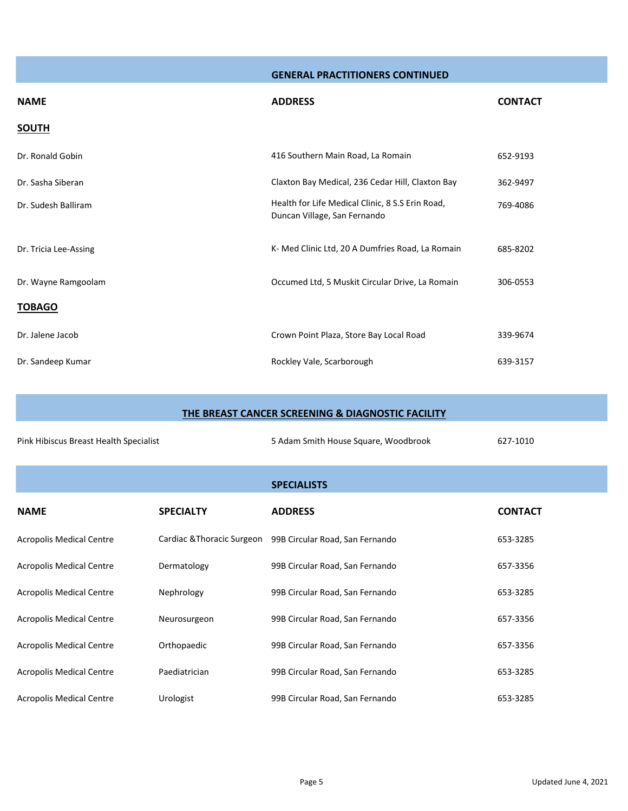| <b>NAME</b>           | <b>ADDRESS</b>                                                                   | <b>CONTACT</b> |
|-----------------------|----------------------------------------------------------------------------------|----------------|
| <b>SOUTH</b>          |                                                                                  |                |
| Dr. Ronald Gobin      | 416 Southern Main Road, La Romain                                                | 652-9193       |
| Dr. Sasha Siberan     | Claxton Bay Medical, 236 Cedar Hill, Claxton Bay                                 | 362-9497       |
| Dr. Sudesh Balliram   | Health for Life Medical Clinic, 8 S.S Erin Road,<br>Duncan Village, San Fernando | 769-4086       |
| Dr. Tricia Lee-Assing | K- Med Clinic Ltd, 20 A Dumfries Road, La Romain                                 | 685-8202       |
| Dr. Wayne Ramgoolam   | Occumed Ltd, 5 Muskit Circular Drive, La Romain                                  | 306-0553       |
| <b>TOBAGO</b>         |                                                                                  |                |
| Dr. Jalene Jacob      | Crown Point Plaza, Store Bay Local Road                                          | 339-9674       |
| Dr. Sandeep Kumar     | Rockley Vale, Scarborough                                                        | 639-3157       |

| THE BREAST CANCER SCREENING & DIAGNOSTIC FACILITY |                            |                                      |                |  |
|---------------------------------------------------|----------------------------|--------------------------------------|----------------|--|
| Pink Hibiscus Breast Health Specialist            |                            | 5 Adam Smith House Square, Woodbrook | 627-1010       |  |
|                                                   |                            | <b>SPECIALISTS</b>                   |                |  |
| <b>NAME</b>                                       | <b>SPECIALTY</b>           | <b>ADDRESS</b>                       | <b>CONTACT</b> |  |
| <b>Acropolis Medical Centre</b>                   | Cardiac & Thoracic Surgeon | 99B Circular Road, San Fernando      | 653-3285       |  |
| <b>Acropolis Medical Centre</b>                   | Dermatology                | 99B Circular Road, San Fernando      | 657-3356       |  |
| <b>Acropolis Medical Centre</b>                   | Nephrology                 | 99B Circular Road, San Fernando      | 653-3285       |  |
| <b>Acropolis Medical Centre</b>                   | Neurosurgeon               | 99B Circular Road, San Fernando      | 657-3356       |  |
| <b>Acropolis Medical Centre</b>                   | Orthopaedic                | 99B Circular Road, San Fernando      | 657-3356       |  |
| <b>Acropolis Medical Centre</b>                   | Paediatrician              | 99B Circular Road, San Fernando      | 653-3285       |  |
| <b>Acropolis Medical Centre</b>                   | Urologist                  | 99B Circular Road, San Fernando      | 653-3285       |  |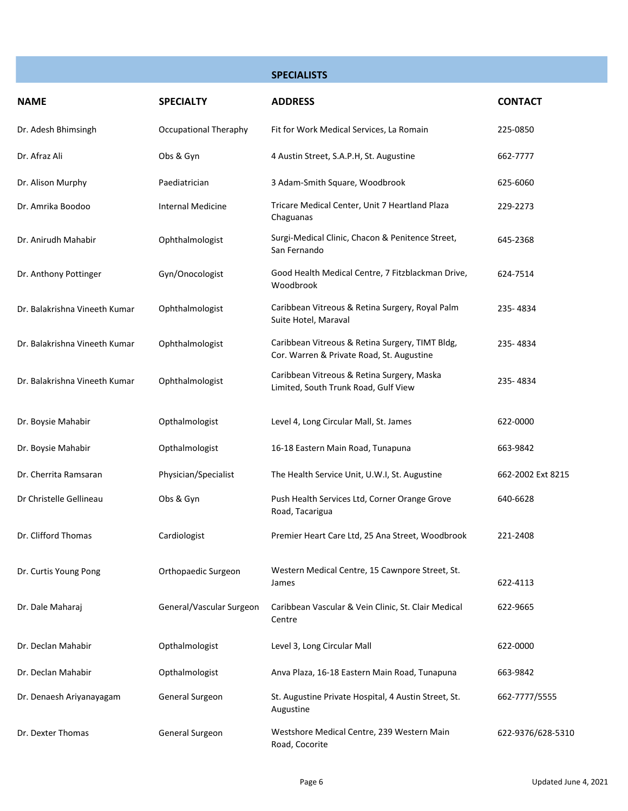|                               |                          | <b>SPECIALISTS</b>                                                                           |                   |
|-------------------------------|--------------------------|----------------------------------------------------------------------------------------------|-------------------|
| <b>NAME</b>                   | <b>SPECIALTY</b>         | <b>ADDRESS</b>                                                                               | <b>CONTACT</b>    |
| Dr. Adesh Bhimsingh           | Occupational Theraphy    | Fit for Work Medical Services, La Romain                                                     | 225-0850          |
| Dr. Afraz Ali                 | Obs & Gyn                | 4 Austin Street, S.A.P.H, St. Augustine                                                      | 662-7777          |
| Dr. Alison Murphy             | Paediatrician            | 3 Adam-Smith Square, Woodbrook                                                               | 625-6060          |
| Dr. Amrika Boodoo             | Internal Medicine        | Tricare Medical Center, Unit 7 Heartland Plaza<br>Chaguanas                                  | 229-2273          |
| Dr. Anirudh Mahabir           | Ophthalmologist          | Surgi-Medical Clinic, Chacon & Penitence Street,<br>San Fernando                             | 645-2368          |
| Dr. Anthony Pottinger         | Gyn/Onocologist          | Good Health Medical Centre, 7 Fitzblackman Drive,<br>Woodbrook                               | 624-7514          |
| Dr. Balakrishna Vineeth Kumar | Ophthalmologist          | Caribbean Vitreous & Retina Surgery, Royal Palm<br>Suite Hotel, Maraval                      | 235-4834          |
| Dr. Balakrishna Vineeth Kumar | Ophthalmologist          | Caribbean Vitreous & Retina Surgery, TIMT Bldg,<br>Cor. Warren & Private Road, St. Augustine | 235-4834          |
| Dr. Balakrishna Vineeth Kumar | Ophthalmologist          | Caribbean Vitreous & Retina Surgery, Maska<br>Limited, South Trunk Road, Gulf View           | 235-4834          |
| Dr. Boysie Mahabir            | Opthalmologist           | Level 4, Long Circular Mall, St. James                                                       | 622-0000          |
| Dr. Boysie Mahabir            | Opthalmologist           | 16-18 Eastern Main Road, Tunapuna                                                            | 663-9842          |
| Dr. Cherrita Ramsaran         | Physician/Specialist     | The Health Service Unit, U.W.I, St. Augustine                                                | 662-2002 Ext 8215 |
| Dr Christelle Gellineau       | Obs & Gyn                | Push Health Services Ltd, Corner Orange Grove<br>Road, Tacarigua                             | 640-6628          |
| Dr. Clifford Thomas           | Cardiologist             | Premier Heart Care Ltd, 25 Ana Street, Woodbrook                                             | 221-2408          |
| Dr. Curtis Young Pong         | Orthopaedic Surgeon      | Western Medical Centre, 15 Cawnpore Street, St.<br>James                                     | 622-4113          |
| Dr. Dale Maharaj              | General/Vascular Surgeon | Caribbean Vascular & Vein Clinic, St. Clair Medical<br>Centre                                | 622-9665          |
| Dr. Declan Mahabir            | Opthalmologist           | Level 3, Long Circular Mall                                                                  | 622-0000          |
| Dr. Declan Mahabir            | Opthalmologist           | Anva Plaza, 16-18 Eastern Main Road, Tunapuna                                                | 663-9842          |
| Dr. Denaesh Ariyanayagam      | General Surgeon          | St. Augustine Private Hospital, 4 Austin Street, St.<br>Augustine                            | 662-7777/5555     |
| Dr. Dexter Thomas             | General Surgeon          | Westshore Medical Centre, 239 Western Main<br>Road, Cocorite                                 | 622-9376/628-5310 |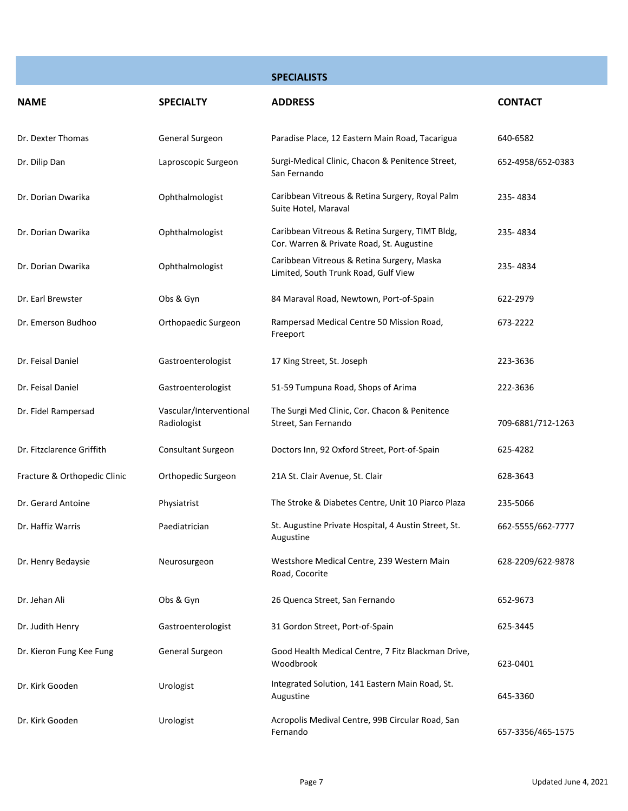|                              |                                        | <b>SPECIALISTS</b>                                                                           |                   |
|------------------------------|----------------------------------------|----------------------------------------------------------------------------------------------|-------------------|
| <b>NAME</b>                  | <b>SPECIALTY</b>                       | <b>ADDRESS</b>                                                                               | <b>CONTACT</b>    |
| Dr. Dexter Thomas            | General Surgeon                        | Paradise Place, 12 Eastern Main Road, Tacarigua                                              | 640-6582          |
| Dr. Dilip Dan                | Laproscopic Surgeon                    | Surgi-Medical Clinic, Chacon & Penitence Street,<br>San Fernando                             | 652-4958/652-0383 |
| Dr. Dorian Dwarika           | Ophthalmologist                        | Caribbean Vitreous & Retina Surgery, Royal Palm<br>Suite Hotel, Maraval                      | 235-4834          |
| Dr. Dorian Dwarika           | Ophthalmologist                        | Caribbean Vitreous & Retina Surgery, TIMT Bldg,<br>Cor. Warren & Private Road, St. Augustine | 235-4834          |
| Dr. Dorian Dwarika           | Ophthalmologist                        | Caribbean Vitreous & Retina Surgery, Maska<br>Limited, South Trunk Road, Gulf View           | 235-4834          |
| Dr. Earl Brewster            | Obs & Gyn                              | 84 Maraval Road, Newtown, Port-of-Spain                                                      | 622-2979          |
| Dr. Emerson Budhoo           | Orthopaedic Surgeon                    | Rampersad Medical Centre 50 Mission Road,<br>Freeport                                        | 673-2222          |
| Dr. Feisal Daniel            | Gastroenterologist                     | 17 King Street, St. Joseph                                                                   | 223-3636          |
| Dr. Feisal Daniel            | Gastroenterologist                     | 51-59 Tumpuna Road, Shops of Arima                                                           | 222-3636          |
| Dr. Fidel Rampersad          | Vascular/Interventional<br>Radiologist | The Surgi Med Clinic, Cor. Chacon & Penitence<br>Street, San Fernando                        | 709-6881/712-1263 |
| Dr. Fitzclarence Griffith    | Consultant Surgeon                     | Doctors Inn, 92 Oxford Street, Port-of-Spain                                                 | 625-4282          |
| Fracture & Orthopedic Clinic | Orthopedic Surgeon                     | 21A St. Clair Avenue, St. Clair                                                              | 628-3643          |
| Dr. Gerard Antoine           | Physiatrist                            | The Stroke & Diabetes Centre, Unit 10 Piarco Plaza                                           | 235-5066          |
| Dr. Haffiz Warris            | Paediatrician                          | St. Augustine Private Hospital, 4 Austin Street, St.<br>Augustine                            | 662-5555/662-7777 |
| Dr. Henry Bedaysie           | Neurosurgeon                           | Westshore Medical Centre, 239 Western Main<br>Road, Cocorite                                 | 628-2209/622-9878 |
| Dr. Jehan Ali                | Obs & Gyn                              | 26 Quenca Street, San Fernando                                                               | 652-9673          |
| Dr. Judith Henry             | Gastroenterologist                     | 31 Gordon Street, Port-of-Spain                                                              | 625-3445          |
| Dr. Kieron Fung Kee Fung     | General Surgeon                        | Good Health Medical Centre, 7 Fitz Blackman Drive,<br>Woodbrook                              | 623-0401          |
| Dr. Kirk Gooden              | Urologist                              | Integrated Solution, 141 Eastern Main Road, St.<br>Augustine                                 | 645-3360          |
| Dr. Kirk Gooden              | Urologist                              | Acropolis Medival Centre, 99B Circular Road, San<br>Fernando                                 | 657-3356/465-1575 |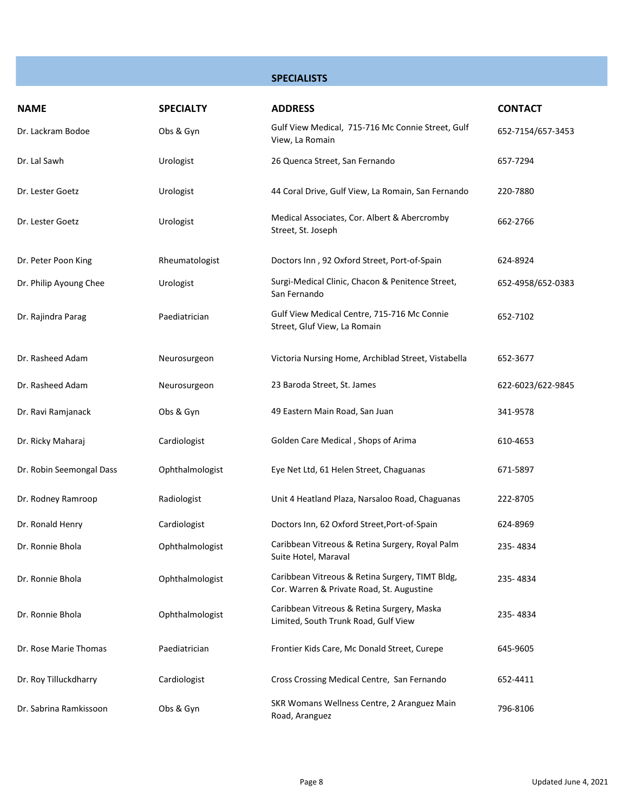**SPECIALISTS**

| <b>NAME</b>              | <b>SPECIALTY</b> | <b>ADDRESS</b>                                                                               | <b>CONTACT</b>    |
|--------------------------|------------------|----------------------------------------------------------------------------------------------|-------------------|
| Dr. Lackram Bodoe        | Obs & Gyn        | Gulf View Medical, 715-716 Mc Connie Street, Gulf<br>View, La Romain                         | 652-7154/657-3453 |
| Dr. Lal Sawh             | Urologist        | 26 Quenca Street, San Fernando                                                               | 657-7294          |
| Dr. Lester Goetz         | Urologist        | 44 Coral Drive, Gulf View, La Romain, San Fernando                                           | 220-7880          |
| Dr. Lester Goetz         | Urologist        | Medical Associates, Cor. Albert & Abercromby<br>Street, St. Joseph                           | 662-2766          |
| Dr. Peter Poon King      | Rheumatologist   | Doctors Inn, 92 Oxford Street, Port-of-Spain                                                 | 624-8924          |
| Dr. Philip Ayoung Chee   | Urologist        | Surgi-Medical Clinic, Chacon & Penitence Street,<br>San Fernando                             | 652-4958/652-0383 |
| Dr. Rajindra Parag       | Paediatrician    | Gulf View Medical Centre, 715-716 Mc Connie<br>Street, Gluf View, La Romain                  | 652-7102          |
| Dr. Rasheed Adam         | Neurosurgeon     | Victoria Nursing Home, Archiblad Street, Vistabella                                          | 652-3677          |
| Dr. Rasheed Adam         | Neurosurgeon     | 23 Baroda Street, St. James                                                                  | 622-6023/622-9845 |
| Dr. Ravi Ramjanack       | Obs & Gyn        | 49 Eastern Main Road, San Juan                                                               | 341-9578          |
| Dr. Ricky Maharaj        | Cardiologist     | Golden Care Medical, Shops of Arima                                                          | 610-4653          |
| Dr. Robin Seemongal Dass | Ophthalmologist  | Eye Net Ltd, 61 Helen Street, Chaguanas                                                      | 671-5897          |
| Dr. Rodney Ramroop       | Radiologist      | Unit 4 Heatland Plaza, Narsaloo Road, Chaguanas                                              | 222-8705          |
| Dr. Ronald Henry         | Cardiologist     | Doctors Inn, 62 Oxford Street, Port-of-Spain                                                 | 624-8969          |
| Dr. Ronnie Bhola         | Ophthalmologist  | Caribbean Vitreous & Retina Surgery, Royal Palm<br>Suite Hotel, Maraval                      | 235-4834          |
| Dr. Ronnie Bhola         | Ophthalmologist  | Caribbean Vitreous & Retina Surgery, TIMT Bldg,<br>Cor. Warren & Private Road, St. Augustine | 235-4834          |
| Dr. Ronnie Bhola         | Ophthalmologist  | Caribbean Vitreous & Retina Surgery, Maska<br>Limited, South Trunk Road, Gulf View           | 235-4834          |
| Dr. Rose Marie Thomas    | Paediatrician    | Frontier Kids Care, Mc Donald Street, Curepe                                                 | 645-9605          |
| Dr. Roy Tilluckdharry    | Cardiologist     | Cross Crossing Medical Centre, San Fernando                                                  | 652-4411          |
| Dr. Sabrina Ramkissoon   | Obs & Gyn        | SKR Womans Wellness Centre, 2 Aranguez Main<br>Road, Aranguez                                | 796-8106          |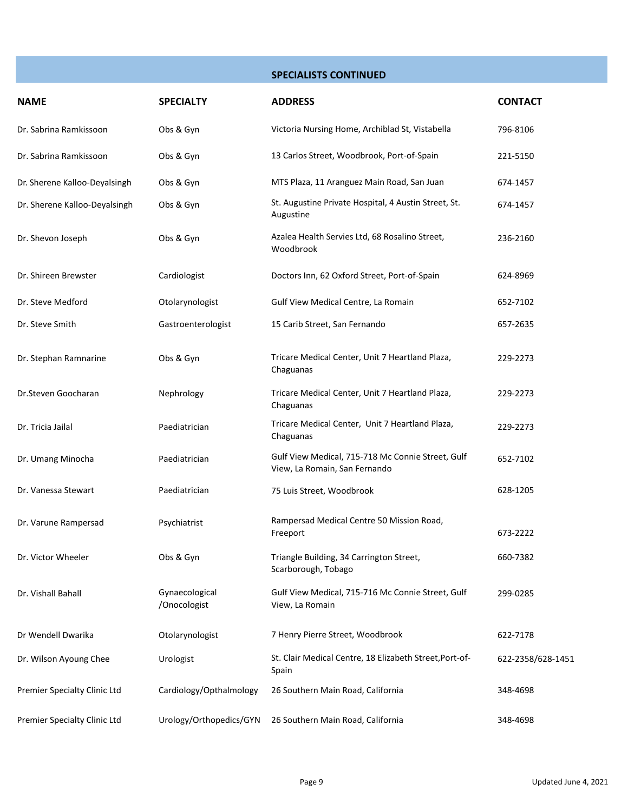**SPECIALISTS CONTINUED**

| <b>NAME</b>                   | <b>SPECIALTY</b>               | <b>ADDRESS</b>                                                                     | <b>CONTACT</b>    |
|-------------------------------|--------------------------------|------------------------------------------------------------------------------------|-------------------|
| Dr. Sabrina Ramkissoon        | Obs & Gyn                      | Victoria Nursing Home, Archiblad St, Vistabella                                    | 796-8106          |
| Dr. Sabrina Ramkissoon        | Obs & Gyn                      | 13 Carlos Street, Woodbrook, Port-of-Spain                                         | 221-5150          |
| Dr. Sherene Kalloo-Deyalsingh | Obs & Gyn                      | MTS Plaza, 11 Aranguez Main Road, San Juan                                         | 674-1457          |
| Dr. Sherene Kalloo-Deyalsingh | Obs & Gyn                      | St. Augustine Private Hospital, 4 Austin Street, St.<br>Augustine                  | 674-1457          |
| Dr. Shevon Joseph             | Obs & Gyn                      | Azalea Health Servies Ltd, 68 Rosalino Street,<br>Woodbrook                        | 236-2160          |
| Dr. Shireen Brewster          | Cardiologist                   | Doctors Inn, 62 Oxford Street, Port-of-Spain                                       | 624-8969          |
| Dr. Steve Medford             | Otolarynologist                | Gulf View Medical Centre, La Romain                                                | 652-7102          |
| Dr. Steve Smith               | Gastroenterologist             | 15 Carib Street, San Fernando                                                      | 657-2635          |
| Dr. Stephan Ramnarine         | Obs & Gyn                      | Tricare Medical Center, Unit 7 Heartland Plaza,<br>Chaguanas                       | 229-2273          |
| Dr.Steven Goocharan           | Nephrology                     | Tricare Medical Center, Unit 7 Heartland Plaza,<br>Chaguanas                       | 229-2273          |
| Dr. Tricia Jailal             | Paediatrician                  | Tricare Medical Center, Unit 7 Heartland Plaza,<br>Chaguanas                       | 229-2273          |
| Dr. Umang Minocha             | Paediatrician                  | Gulf View Medical, 715-718 Mc Connie Street, Gulf<br>View, La Romain, San Fernando | 652-7102          |
| Dr. Vanessa Stewart           | Paediatrician                  | 75 Luis Street, Woodbrook                                                          | 628-1205          |
| Dr. Varune Rampersad          | Psychiatrist                   | Rampersad Medical Centre 50 Mission Road,<br>Freeport                              | 673-2222          |
| Dr. Victor Wheeler            | Obs & Gyn                      | Triangle Building, 34 Carrington Street,<br>Scarborough, Tobago                    | 660-7382          |
| Dr. Vishall Bahall            | Gynaecological<br>/Onocologist | Gulf View Medical, 715-716 Mc Connie Street, Gulf<br>View, La Romain               | 299-0285          |
| Dr Wendell Dwarika            | Otolarynologist                | 7 Henry Pierre Street, Woodbrook                                                   | 622-7178          |
| Dr. Wilson Ayoung Chee        | Urologist                      | St. Clair Medical Centre, 18 Elizabeth Street, Port-of-<br>Spain                   | 622-2358/628-1451 |
| Premier Specialty Clinic Ltd  | Cardiology/Opthalmology        | 26 Southern Main Road, California                                                  | 348-4698          |
| Premier Specialty Clinic Ltd  | Urology/Orthopedics/GYN        | 26 Southern Main Road, California                                                  | 348-4698          |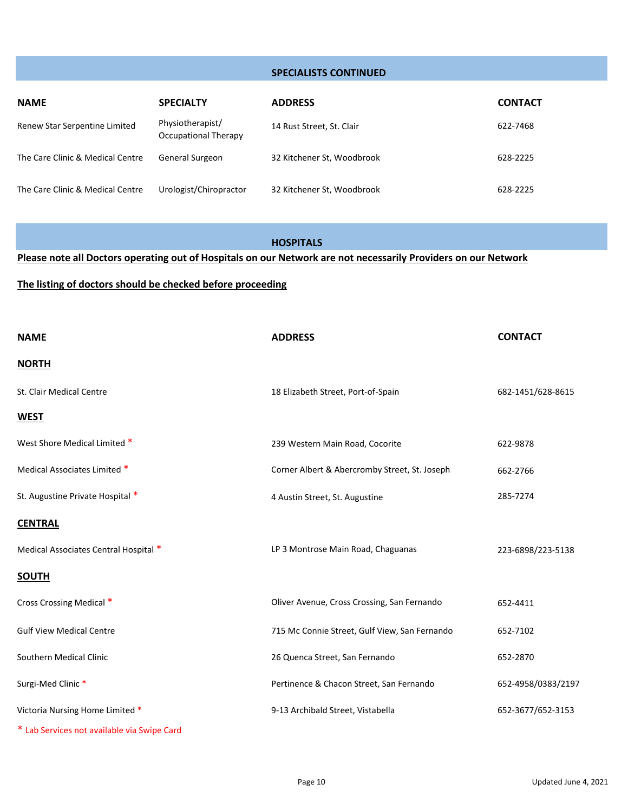#### **SPECIALISTS CONTINUED**

| <b>NAME</b>                      | <b>SPECIALTY</b>                         | <b>ADDRESS</b>             | <b>CONTACT</b> |
|----------------------------------|------------------------------------------|----------------------------|----------------|
| Renew Star Serpentine Limited    | Physiotherapist/<br>Occupational Therapy | 14 Rust Street, St. Clair  | 622-7468       |
| The Care Clinic & Medical Centre | <b>General Surgeon</b>                   | 32 Kitchener St, Woodbrook | 628-2225       |
| The Care Clinic & Medical Centre | Urologist/Chiropractor                   | 32 Kitchener St, Woodbrook | 628-2225       |

#### **HOSPITALS**

**Please note all Doctors operating out of Hospitals on our Network are not necessarily Providers on our Network**

#### **The listing of doctors should be checked before proceeding**

| <b>NAME</b>                                 | <b>ADDRESS</b>                                | <b>CONTACT</b>     |
|---------------------------------------------|-----------------------------------------------|--------------------|
| <b>NORTH</b>                                |                                               |                    |
| St. Clair Medical Centre                    | 18 Elizabeth Street, Port-of-Spain            | 682-1451/628-8615  |
| <b>WEST</b>                                 |                                               |                    |
| West Shore Medical Limited *                | 239 Western Main Road, Cocorite               | 622-9878           |
| Medical Associates Limited *                | Corner Albert & Abercromby Street, St. Joseph | 662-2766           |
| St. Augustine Private Hospital *            | 4 Austin Street, St. Augustine                | 285-7274           |
| <b>CENTRAL</b>                              |                                               |                    |
| Medical Associates Central Hospital *       | LP 3 Montrose Main Road, Chaguanas            | 223-6898/223-5138  |
| <b>SOUTH</b>                                |                                               |                    |
| Cross Crossing Medical *                    | Oliver Avenue, Cross Crossing, San Fernando   | 652-4411           |
| <b>Gulf View Medical Centre</b>             | 715 Mc Connie Street, Gulf View, San Fernando | 652-7102           |
| Southern Medical Clinic                     | 26 Quenca Street, San Fernando                | 652-2870           |
| Surgi-Med Clinic*                           | Pertinence & Chacon Street, San Fernando      | 652-4958/0383/2197 |
| Victoria Nursing Home Limited *             | 9-13 Archibald Street, Vistabella             | 652-3677/652-3153  |
| * Lab Services not available via Swipe Card |                                               |                    |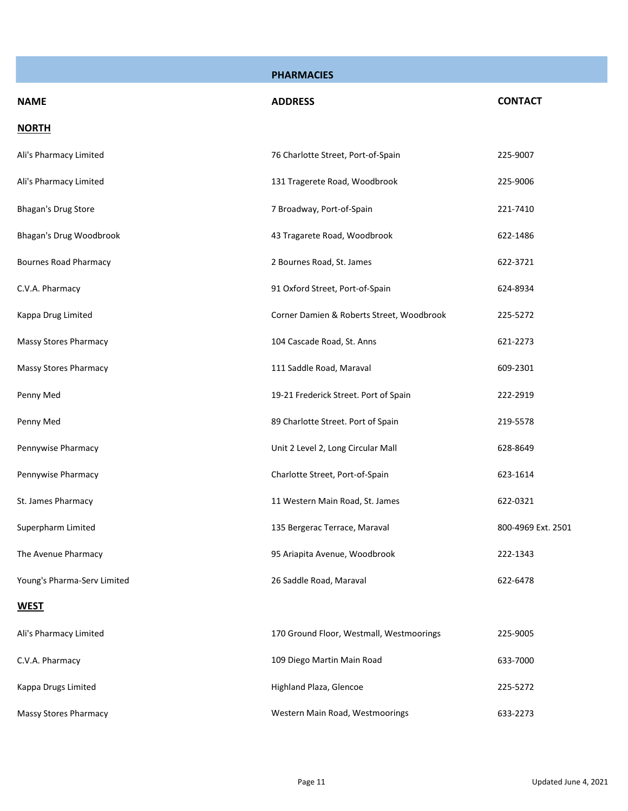|                              | <b>PHARMACIES</b>                         |                    |
|------------------------------|-------------------------------------------|--------------------|
| <b>NAME</b>                  | <b>ADDRESS</b>                            | <b>CONTACT</b>     |
| <b>NORTH</b>                 |                                           |                    |
| Ali's Pharmacy Limited       | 76 Charlotte Street, Port-of-Spain        | 225-9007           |
| Ali's Pharmacy Limited       | 131 Tragerete Road, Woodbrook             | 225-9006           |
| Bhagan's Drug Store          | 7 Broadway, Port-of-Spain                 | 221-7410           |
| Bhagan's Drug Woodbrook      | 43 Tragarete Road, Woodbrook              | 622-1486           |
| <b>Bournes Road Pharmacy</b> | 2 Bournes Road, St. James                 | 622-3721           |
| C.V.A. Pharmacy              | 91 Oxford Street, Port-of-Spain           | 624-8934           |
| Kappa Drug Limited           | Corner Damien & Roberts Street, Woodbrook | 225-5272           |
| Massy Stores Pharmacy        | 104 Cascade Road, St. Anns                | 621-2273           |
| Massy Stores Pharmacy        | 111 Saddle Road, Maraval                  | 609-2301           |
| Penny Med                    | 19-21 Frederick Street. Port of Spain     | 222-2919           |
| Penny Med                    | 89 Charlotte Street. Port of Spain        | 219-5578           |
| Pennywise Pharmacy           | Unit 2 Level 2, Long Circular Mall        | 628-8649           |
| Pennywise Pharmacy           | Charlotte Street, Port-of-Spain           | 623-1614           |
| St. James Pharmacy           | 11 Western Main Road, St. James           | 622-0321           |
| Superpharm Limited           | 135 Bergerac Terrace, Maraval             | 800-4969 Ext. 2501 |
| The Avenue Pharmacy          | 95 Ariapita Avenue, Woodbrook             | 222-1343           |
| Young's Pharma-Serv Limited  | 26 Saddle Road, Maraval                   | 622-6478           |
| <b>WEST</b>                  |                                           |                    |
| Ali's Pharmacy Limited       | 170 Ground Floor, Westmall, Westmoorings  | 225-9005           |
| C.V.A. Pharmacy              | 109 Diego Martin Main Road                | 633-7000           |
| Kappa Drugs Limited          | Highland Plaza, Glencoe                   | 225-5272           |
| <b>Massy Stores Pharmacy</b> | Western Main Road, Westmoorings           | 633-2273           |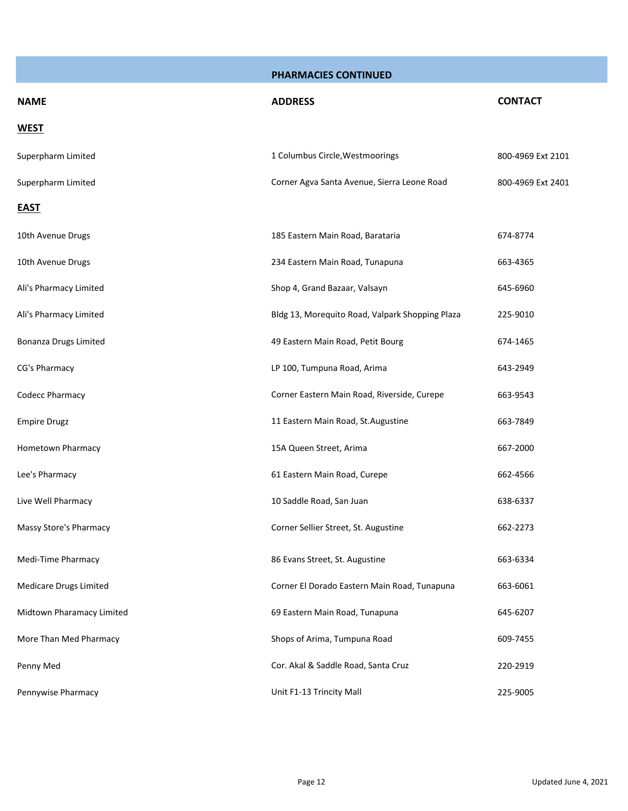| <b>NAME</b>                  | <b>ADDRESS</b>                                  | <b>CONTACT</b>    |
|------------------------------|-------------------------------------------------|-------------------|
| <b>WEST</b>                  |                                                 |                   |
| Superpharm Limited           | 1 Columbus Circle, Westmoorings                 | 800-4969 Ext 2101 |
| Superpharm Limited           | Corner Agva Santa Avenue, Sierra Leone Road     | 800-4969 Ext 2401 |
| <b>EAST</b>                  |                                                 |                   |
| 10th Avenue Drugs            | 185 Eastern Main Road, Barataria                | 674-8774          |
| 10th Avenue Drugs            | 234 Eastern Main Road, Tunapuna                 | 663-4365          |
| Ali's Pharmacy Limited       | Shop 4, Grand Bazaar, Valsayn                   | 645-6960          |
| Ali's Pharmacy Limited       | Bldg 13, Morequito Road, Valpark Shopping Plaza | 225-9010          |
| <b>Bonanza Drugs Limited</b> | 49 Eastern Main Road, Petit Bourg               | 674-1465          |
| CG's Pharmacy                | LP 100, Tumpuna Road, Arima                     | 643-2949          |
| Codecc Pharmacy              | Corner Eastern Main Road, Riverside, Curepe     | 663-9543          |
| <b>Empire Drugz</b>          | 11 Eastern Main Road, St. Augustine             | 663-7849          |
| Hometown Pharmacy            | 15A Queen Street, Arima                         | 667-2000          |
| Lee's Pharmacy               | 61 Eastern Main Road, Curepe                    | 662-4566          |
| Live Well Pharmacy           | 10 Saddle Road, San Juan                        | 638-6337          |
| Massy Store's Pharmacy       | Corner Sellier Street, St. Augustine            | 662-2273          |
| Medi-Time Pharmacy           | 86 Evans Street, St. Augustine                  | 663-6334          |
| Medicare Drugs Limited       | Corner El Dorado Eastern Main Road, Tunapuna    | 663-6061          |
| Midtown Pharamacy Limited    | 69 Eastern Main Road, Tunapuna                  | 645-6207          |
| More Than Med Pharmacy       | Shops of Arima, Tumpuna Road                    | 609-7455          |
| Penny Med                    | Cor. Akal & Saddle Road, Santa Cruz             | 220-2919          |
| Pennywise Pharmacy           | Unit F1-13 Trincity Mall                        | 225-9005          |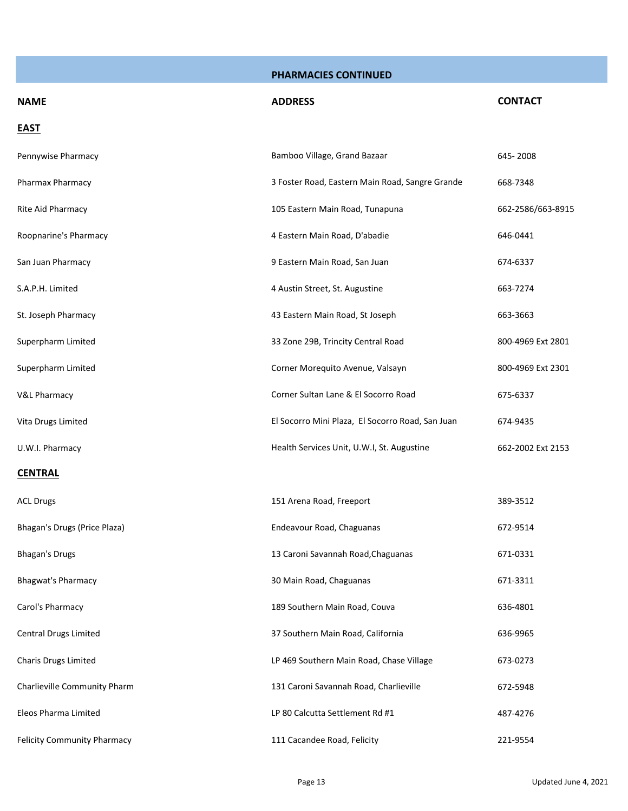| <b>NAME</b>                  | <b>ADDRESS</b>                                   | <b>CONTACT</b>    |
|------------------------------|--------------------------------------------------|-------------------|
| <b>EAST</b>                  |                                                  |                   |
| Pennywise Pharmacy           | Bamboo Village, Grand Bazaar                     | 645-2008          |
| Pharmax Pharmacy             | 3 Foster Road, Eastern Main Road, Sangre Grande  | 668-7348          |
| Rite Aid Pharmacy            | 105 Eastern Main Road, Tunapuna                  | 662-2586/663-8915 |
| Roopnarine's Pharmacy        | 4 Eastern Main Road, D'abadie                    | 646-0441          |
| San Juan Pharmacy            | 9 Eastern Main Road, San Juan                    | 674-6337          |
| S.A.P.H. Limited             | 4 Austin Street, St. Augustine                   | 663-7274          |
| St. Joseph Pharmacy          | 43 Eastern Main Road, St Joseph                  | 663-3663          |
| Superpharm Limited           | 33 Zone 29B, Trincity Central Road               | 800-4969 Ext 2801 |
| Superpharm Limited           | Corner Morequito Avenue, Valsayn                 | 800-4969 Ext 2301 |
| <b>V&amp;L Pharmacy</b>      | Corner Sultan Lane & El Socorro Road             | 675-6337          |
| Vita Drugs Limited           | El Socorro Mini Plaza, El Socorro Road, San Juan | 674-9435          |
| U.W.I. Pharmacy              | Health Services Unit, U.W.I, St. Augustine       | 662-2002 Ext 2153 |
| <b>CENTRAL</b>               |                                                  |                   |
| <b>ACL Drugs</b>             | 151 Arena Road, Freeport                         | 389-3512          |
| Bhagan's Drugs (Price Plaza) | Endeavour Road, Chaguanas                        | 672-9514          |
| <b>Bhagan's Drugs</b>        | 13 Caroni Savannah Road, Chaguanas               | 671-0331          |
| <b>Bhagwat's Pharmacy</b>    | 30 Main Road, Chaguanas                          | 671-3311          |
| Carol's Pharmacy             | 189 Southern Main Road, Couva                    | 636-4801          |
| Central Drugs Limited        | 37 Southern Main Road, California                | 636-9965          |
| Charis Drugs Limited         | LP 469 Southern Main Road, Chase Village         | 673-0273          |
| Charlieville Community Pharm | 131 Caroni Savannah Road, Charlieville           | 672-5948          |
| Eleos Pharma Limited         | LP 80 Calcutta Settlement Rd #1                  | 487-4276          |
| Felicity Community Pharmacy  | 111 Cacandee Road, Felicity                      | 221-9554          |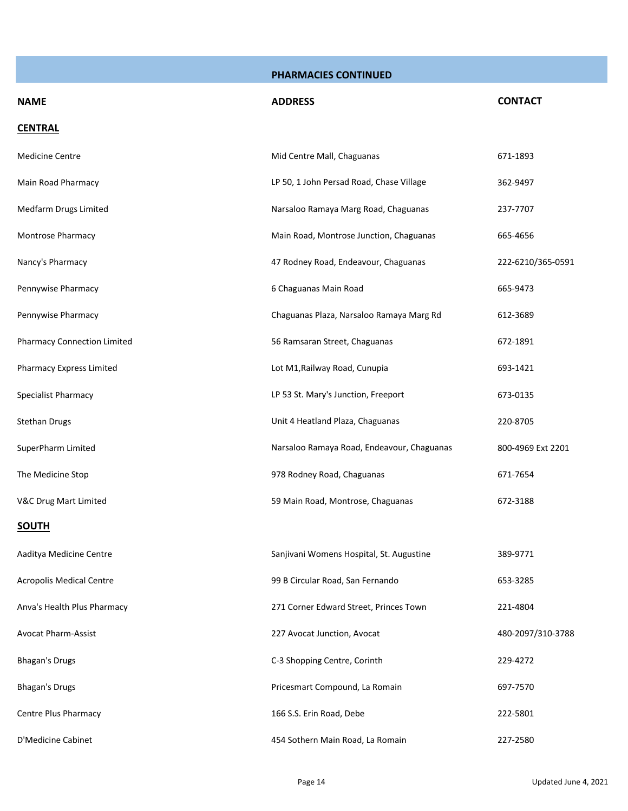| <b>NAME</b>                        | <b>ADDRESS</b>                             | <b>CONTACT</b>    |
|------------------------------------|--------------------------------------------|-------------------|
| <b>CENTRAL</b>                     |                                            |                   |
| <b>Medicine Centre</b>             | Mid Centre Mall, Chaguanas                 | 671-1893          |
| Main Road Pharmacy                 | LP 50, 1 John Persad Road, Chase Village   | 362-9497          |
| Medfarm Drugs Limited              | Narsaloo Ramaya Marg Road, Chaguanas       | 237-7707          |
| Montrose Pharmacy                  | Main Road, Montrose Junction, Chaguanas    | 665-4656          |
| Nancy's Pharmacy                   | 47 Rodney Road, Endeavour, Chaguanas       | 222-6210/365-0591 |
| Pennywise Pharmacy                 | 6 Chaguanas Main Road                      | 665-9473          |
| Pennywise Pharmacy                 | Chaguanas Plaza, Narsaloo Ramaya Marg Rd   | 612-3689          |
| <b>Pharmacy Connection Limited</b> | 56 Ramsaran Street, Chaguanas              | 672-1891          |
| Pharmacy Express Limited           | Lot M1, Railway Road, Cunupia              | 693-1421          |
| Specialist Pharmacy                | LP 53 St. Mary's Junction, Freeport        | 673-0135          |
| <b>Stethan Drugs</b>               | Unit 4 Heatland Plaza, Chaguanas           | 220-8705          |
| SuperPharm Limited                 | Narsaloo Ramaya Road, Endeavour, Chaguanas | 800-4969 Ext 2201 |
| The Medicine Stop                  | 978 Rodney Road, Chaguanas                 | 671-7654          |
| V&C Drug Mart Limited              | 59 Main Road, Montrose, Chaguanas          | 672-3188          |
| <b>SOUTH</b>                       |                                            |                   |
| Aaditya Medicine Centre            | Sanjivani Womens Hospital, St. Augustine   | 389-9771          |
| <b>Acropolis Medical Centre</b>    | 99 B Circular Road, San Fernando           | 653-3285          |
| Anva's Health Plus Pharmacy        | 271 Corner Edward Street, Princes Town     | 221-4804          |
| <b>Avocat Pharm-Assist</b>         | 227 Avocat Junction, Avocat                | 480-2097/310-3788 |
| <b>Bhagan's Drugs</b>              | C-3 Shopping Centre, Corinth               | 229-4272          |
| <b>Bhagan's Drugs</b>              | Pricesmart Compound, La Romain             | 697-7570          |
| Centre Plus Pharmacy               | 166 S.S. Erin Road, Debe                   | 222-5801          |
| D'Medicine Cabinet                 | 454 Sothern Main Road, La Romain           | 227-2580          |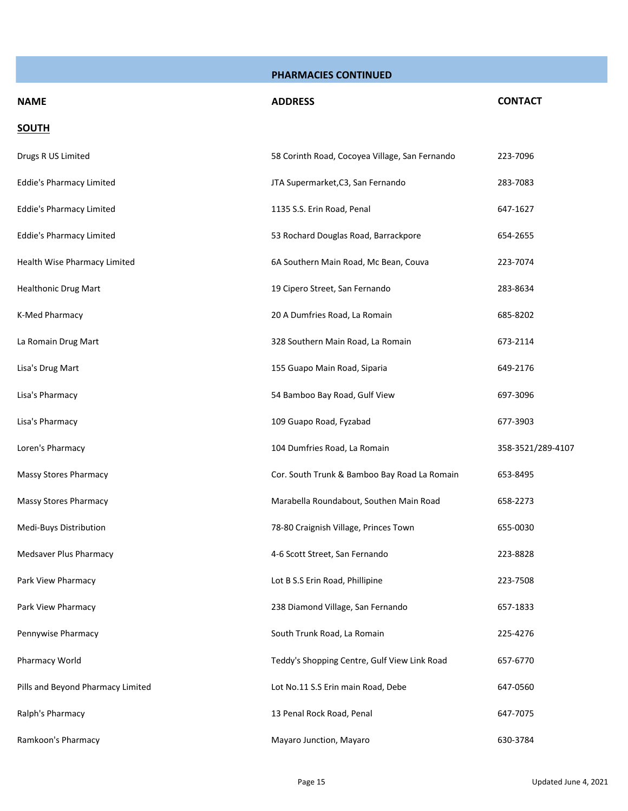| <b>NAME</b>                       | <b>ADDRESS</b>                                 | <b>CONTACT</b>    |
|-----------------------------------|------------------------------------------------|-------------------|
| <b>SOUTH</b>                      |                                                |                   |
| Drugs R US Limited                | 58 Corinth Road, Cocoyea Village, San Fernando | 223-7096          |
| <b>Eddie's Pharmacy Limited</b>   | JTA Supermarket, C3, San Fernando              | 283-7083          |
| <b>Eddie's Pharmacy Limited</b>   | 1135 S.S. Erin Road, Penal                     | 647-1627          |
| <b>Eddie's Pharmacy Limited</b>   | 53 Rochard Douglas Road, Barrackpore           | 654-2655          |
| Health Wise Pharmacy Limited      | 6A Southern Main Road, Mc Bean, Couva          | 223-7074          |
| <b>Healthonic Drug Mart</b>       | 19 Cipero Street, San Fernando                 | 283-8634          |
| K-Med Pharmacy                    | 20 A Dumfries Road, La Romain                  | 685-8202          |
| La Romain Drug Mart               | 328 Southern Main Road, La Romain              | 673-2114          |
| Lisa's Drug Mart                  | 155 Guapo Main Road, Siparia                   | 649-2176          |
| Lisa's Pharmacy                   | 54 Bamboo Bay Road, Gulf View                  | 697-3096          |
| Lisa's Pharmacy                   | 109 Guapo Road, Fyzabad                        | 677-3903          |
| Loren's Pharmacy                  | 104 Dumfries Road, La Romain                   | 358-3521/289-4107 |
| <b>Massy Stores Pharmacy</b>      | Cor. South Trunk & Bamboo Bay Road La Romain   | 653-8495          |
| <b>Massy Stores Pharmacy</b>      | Marabella Roundabout, Southen Main Road        | 658-2273          |
| Medi-Buys Distribution            | 78-80 Craignish Village, Princes Town          | 655-0030          |
| Medsaver Plus Pharmacy            | 4-6 Scott Street, San Fernando                 | 223-8828          |
| Park View Pharmacy                | Lot B S.S Erin Road, Phillipine                | 223-7508          |
| Park View Pharmacy                | 238 Diamond Village, San Fernando              | 657-1833          |
| Pennywise Pharmacy                | South Trunk Road, La Romain                    | 225-4276          |
| Pharmacy World                    | Teddy's Shopping Centre, Gulf View Link Road   | 657-6770          |
| Pills and Beyond Pharmacy Limited | Lot No.11 S.S Erin main Road, Debe             | 647-0560          |
| Ralph's Pharmacy                  | 13 Penal Rock Road, Penal                      | 647-7075          |
| Ramkoon's Pharmacy                | Mayaro Junction, Mayaro                        | 630-3784          |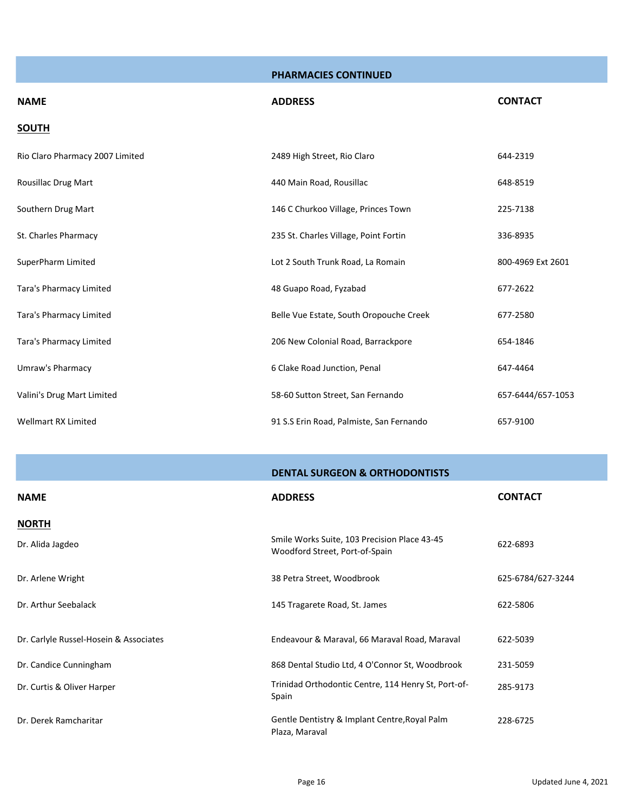| <b>NAME</b>                     | <b>ADDRESS</b>                           | <b>CONTACT</b>    |
|---------------------------------|------------------------------------------|-------------------|
| <b>SOUTH</b>                    |                                          |                   |
| Rio Claro Pharmacy 2007 Limited | 2489 High Street, Rio Claro              | 644-2319          |
| Rousillac Drug Mart             | 440 Main Road, Rousillac                 | 648-8519          |
| Southern Drug Mart              | 146 C Churkoo Village, Princes Town      | 225-7138          |
| St. Charles Pharmacy            | 235 St. Charles Village, Point Fortin    | 336-8935          |
| SuperPharm Limited              | Lot 2 South Trunk Road, La Romain        | 800-4969 Ext 2601 |
| Tara's Pharmacy Limited         | 48 Guapo Road, Fyzabad                   | 677-2622          |
| Tara's Pharmacy Limited         | Belle Vue Estate, South Oropouche Creek  | 677-2580          |
| Tara's Pharmacy Limited         | 206 New Colonial Road, Barrackpore       | 654-1846          |
| Umraw's Pharmacy                | 6 Clake Road Junction, Penal             | 647-4464          |
| Valini's Drug Mart Limited      | 58-60 Sutton Street, San Fernando        | 657-6444/657-1053 |
| <b>Wellmart RX Limited</b>      | 91 S.S Erin Road, Palmiste, San Fernando | 657-9100          |

|                                        | <b>DENTAL SURGEON &amp; ORTHODONTISTS</b>                                      |                   |
|----------------------------------------|--------------------------------------------------------------------------------|-------------------|
| <b>NAME</b>                            | <b>ADDRESS</b>                                                                 | <b>CONTACT</b>    |
| <b>NORTH</b>                           |                                                                                |                   |
| Dr. Alida Jagdeo                       | Smile Works Suite, 103 Precision Place 43-45<br>Woodford Street, Port-of-Spain | 622-6893          |
| Dr. Arlene Wright                      | 38 Petra Street, Woodbrook                                                     | 625-6784/627-3244 |
| Dr. Arthur Seebalack                   | 145 Tragarete Road, St. James                                                  | 622-5806          |
| Dr. Carlyle Russel-Hosein & Associates | Endeavour & Maraval, 66 Maraval Road, Maraval                                  | 622-5039          |
| Dr. Candice Cunningham                 | 868 Dental Studio Ltd, 4 O'Connor St, Woodbrook                                | 231-5059          |
| Dr. Curtis & Oliver Harper             | Trinidad Orthodontic Centre, 114 Henry St, Port-of-<br>Spain                   | 285-9173          |
| Dr. Derek Ramcharitar                  | Gentle Dentistry & Implant Centre, Royal Palm<br>Plaza, Maraval                | 228-6725          |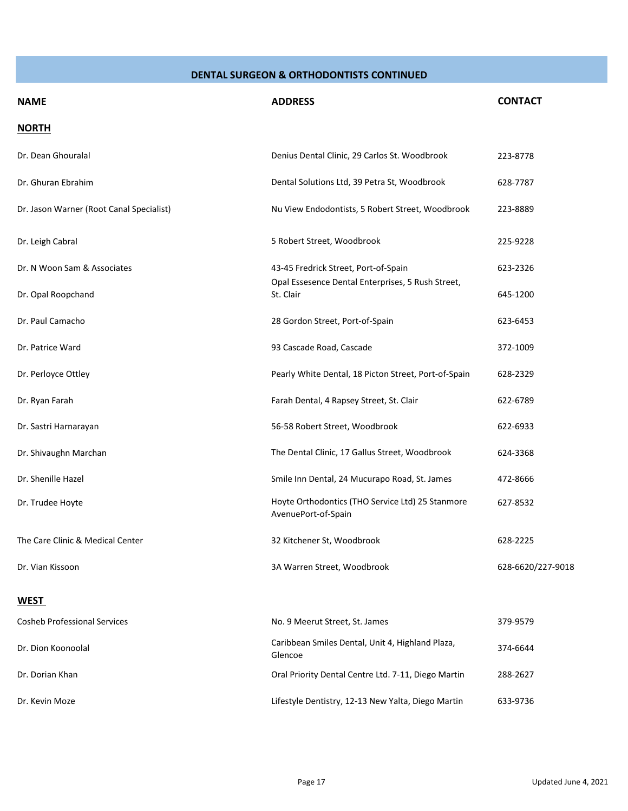| <b>NAME</b>                              | <b>ADDRESS</b>                                                          | <b>CONTACT</b>    |
|------------------------------------------|-------------------------------------------------------------------------|-------------------|
| <b>NORTH</b>                             |                                                                         |                   |
| Dr. Dean Ghouralal                       | Denius Dental Clinic, 29 Carlos St. Woodbrook                           | 223-8778          |
| Dr. Ghuran Ebrahim                       | Dental Solutions Ltd, 39 Petra St, Woodbrook                            | 628-7787          |
| Dr. Jason Warner (Root Canal Specialist) | Nu View Endodontists, 5 Robert Street, Woodbrook                        | 223-8889          |
| Dr. Leigh Cabral                         | 5 Robert Street, Woodbrook                                              | 225-9228          |
| Dr. N Woon Sam & Associates              | 43-45 Fredrick Street, Port-of-Spain                                    | 623-2326          |
| Dr. Opal Roopchand                       | Opal Essesence Dental Enterprises, 5 Rush Street,<br>St. Clair          | 645-1200          |
| Dr. Paul Camacho                         | 28 Gordon Street, Port-of-Spain                                         | 623-6453          |
| Dr. Patrice Ward                         | 93 Cascade Road, Cascade                                                | 372-1009          |
| Dr. Perloyce Ottley                      | Pearly White Dental, 18 Picton Street, Port-of-Spain                    | 628-2329          |
| Dr. Ryan Farah                           | Farah Dental, 4 Rapsey Street, St. Clair                                | 622-6789          |
| Dr. Sastri Harnarayan                    | 56-58 Robert Street, Woodbrook                                          | 622-6933          |
| Dr. Shivaughn Marchan                    | The Dental Clinic, 17 Gallus Street, Woodbrook                          | 624-3368          |
| Dr. Shenille Hazel                       | Smile Inn Dental, 24 Mucurapo Road, St. James                           | 472-8666          |
| Dr. Trudee Hoyte                         | Hoyte Orthodontics (THO Service Ltd) 25 Stanmore<br>AvenuePort-of-Spain | 627-8532          |
| The Care Clinic & Medical Center         | 32 Kitchener St, Woodbrook                                              | 628-2225          |
| Dr. Vian Kissoon                         | 3A Warren Street, Woodbrook                                             | 628-6620/227-9018 |
| <b>WEST</b>                              |                                                                         |                   |
| <b>Cosheb Professional Services</b>      | No. 9 Meerut Street, St. James                                          | 379-9579          |
| Dr. Dion Koonoolal                       | Caribbean Smiles Dental, Unit 4, Highland Plaza,<br>Glencoe             | 374-6644          |
| Dr. Dorian Khan                          | Oral Priority Dental Centre Ltd. 7-11, Diego Martin                     | 288-2627          |
| Dr. Kevin Moze                           | Lifestyle Dentistry, 12-13 New Yalta, Diego Martin                      | 633-9736          |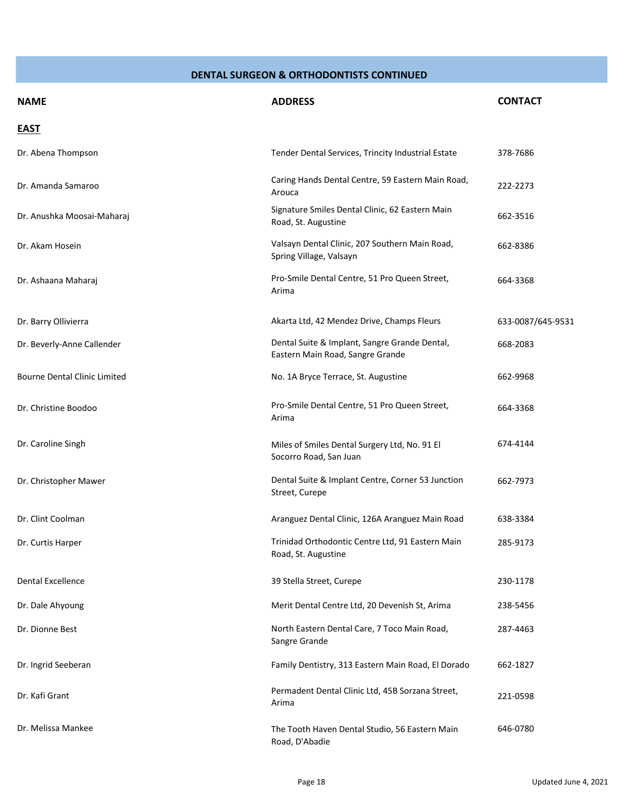| <b>NAME</b>                         | <b>ADDRESS</b>                                                                    | <b>CONTACT</b>    |
|-------------------------------------|-----------------------------------------------------------------------------------|-------------------|
| <b>EAST</b>                         |                                                                                   |                   |
| Dr. Abena Thompson                  | Tender Dental Services, Trincity Industrial Estate                                | 378-7686          |
| Dr. Amanda Samaroo                  | Caring Hands Dental Centre, 59 Eastern Main Road,<br>Arouca                       | 222-2273          |
| Dr. Anushka Moosai-Maharaj          | Signature Smiles Dental Clinic, 62 Eastern Main<br>Road, St. Augustine            | 662-3516          |
| Dr. Akam Hosein                     | Valsayn Dental Clinic, 207 Southern Main Road,<br>Spring Village, Valsayn         | 662-8386          |
| Dr. Ashaana Maharaj                 | Pro-Smile Dental Centre, 51 Pro Queen Street,<br>Arima                            | 664-3368          |
| Dr. Barry Ollivierra                | Akarta Ltd, 42 Mendez Drive, Champs Fleurs                                        | 633-0087/645-9531 |
| Dr. Beverly-Anne Callender          | Dental Suite & Implant, Sangre Grande Dental,<br>Eastern Main Road, Sangre Grande | 668-2083          |
| <b>Bourne Dental Clinic Limited</b> | No. 1A Bryce Terrace, St. Augustine                                               | 662-9968          |
| Dr. Christine Boodoo                | Pro-Smile Dental Centre, 51 Pro Queen Street,<br>Arima                            | 664-3368          |
| Dr. Caroline Singh                  | Miles of Smiles Dental Surgery Ltd, No. 91 El<br>Socorro Road, San Juan           | 674-4144          |
| Dr. Christopher Mawer               | Dental Suite & Implant Centre, Corner 53 Junction<br>Street, Curepe               | 662-7973          |
| Dr. Clint Coolman                   | Aranguez Dental Clinic, 126A Aranguez Main Road                                   | 638-3384          |
| Dr. Curtis Harper                   | Trinidad Orthodontic Centre Ltd, 91 Eastern Main<br>Road, St. Augustine           | 285-9173          |
| <b>Dental Excellence</b>            | 39 Stella Street, Curepe                                                          | 230-1178          |
| Dr. Dale Ahyoung                    | Merit Dental Centre Ltd, 20 Devenish St, Arima                                    | 238-5456          |
| Dr. Dionne Best                     | North Eastern Dental Care, 7 Toco Main Road,<br>Sangre Grande                     | 287-4463          |
| Dr. Ingrid Seeberan                 | Family Dentistry, 313 Eastern Main Road, El Dorado                                | 662-1827          |
| Dr. Kafi Grant                      | Permadent Dental Clinic Ltd, 45B Sorzana Street,<br>Arima                         | 221-0598          |
| Dr. Melissa Mankee                  | The Tooth Haven Dental Studio, 56 Eastern Main<br>Road, D'Abadie                  | 646-0780          |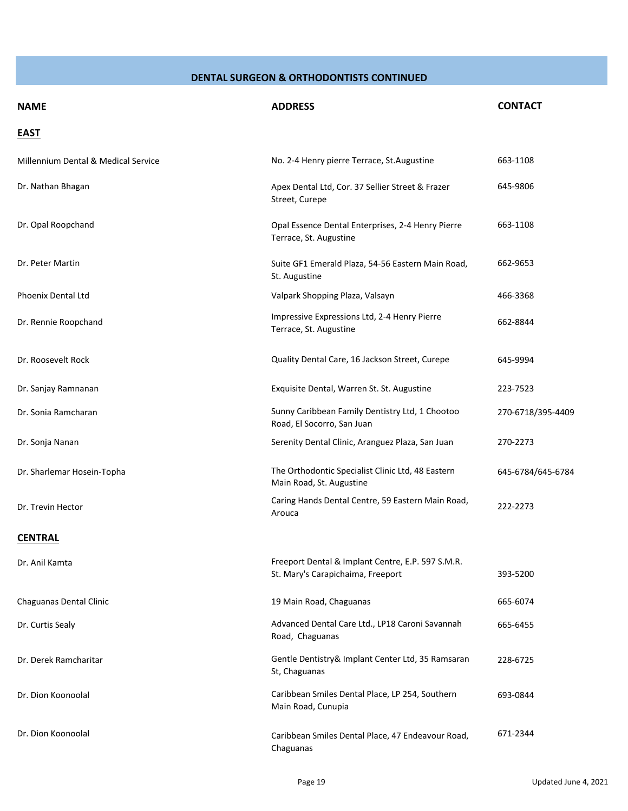| <b>NAME</b>                         | <b>ADDRESS</b>                                                                         | <b>CONTACT</b>    |
|-------------------------------------|----------------------------------------------------------------------------------------|-------------------|
| <b>EAST</b>                         |                                                                                        |                   |
| Millennium Dental & Medical Service | No. 2-4 Henry pierre Terrace, St. Augustine                                            | 663-1108          |
| Dr. Nathan Bhagan                   | Apex Dental Ltd, Cor. 37 Sellier Street & Frazer<br>Street, Curepe                     | 645-9806          |
| Dr. Opal Roopchand                  | Opal Essence Dental Enterprises, 2-4 Henry Pierre<br>Terrace, St. Augustine            | 663-1108          |
| Dr. Peter Martin                    | Suite GF1 Emerald Plaza, 54-56 Eastern Main Road,<br>St. Augustine                     | 662-9653          |
| Phoenix Dental Ltd                  | Valpark Shopping Plaza, Valsayn                                                        | 466-3368          |
| Dr. Rennie Roopchand                | Impressive Expressions Ltd, 2-4 Henry Pierre<br>Terrace, St. Augustine                 | 662-8844          |
| Dr. Roosevelt Rock                  | Quality Dental Care, 16 Jackson Street, Curepe                                         | 645-9994          |
| Dr. Sanjay Ramnanan                 | Exquisite Dental, Warren St. St. Augustine                                             | 223-7523          |
| Dr. Sonia Ramcharan                 | Sunny Caribbean Family Dentistry Ltd, 1 Chootoo<br>Road, El Socorro, San Juan          | 270-6718/395-4409 |
| Dr. Sonja Nanan                     | Serenity Dental Clinic, Aranguez Plaza, San Juan                                       | 270-2273          |
| Dr. Sharlemar Hosein-Topha          | The Orthodontic Specialist Clinic Ltd, 48 Eastern<br>Main Road, St. Augustine          | 645-6784/645-6784 |
| Dr. Trevin Hector                   | Caring Hands Dental Centre, 59 Eastern Main Road,<br>Arouca                            | 222-2273          |
| <b>CENTRAL</b>                      |                                                                                        |                   |
| Dr. Anil Kamta                      | Freeport Dental & Implant Centre, E.P. 597 S.M.R.<br>St. Mary's Carapichaima, Freeport | 393-5200          |
| Chaguanas Dental Clinic             | 19 Main Road, Chaguanas                                                                | 665-6074          |
| Dr. Curtis Sealy                    | Advanced Dental Care Ltd., LP18 Caroni Savannah<br>Road, Chaguanas                     | 665-6455          |
| Dr. Derek Ramcharitar               | Gentle Dentistry& Implant Center Ltd, 35 Ramsaran<br>St, Chaguanas                     | 228-6725          |
| Dr. Dion Koonoolal                  | Caribbean Smiles Dental Place, LP 254, Southern<br>Main Road, Cunupia                  | 693-0844          |
| Dr. Dion Koonoolal                  | Caribbean Smiles Dental Place, 47 Endeavour Road,<br>Chaguanas                         | 671-2344          |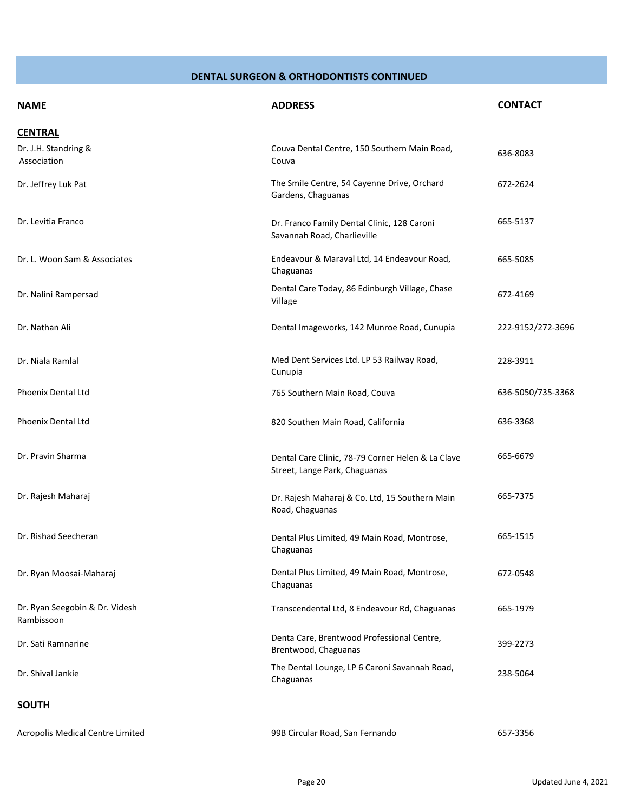| <b>NAME</b>                                  | <b>ADDRESS</b>                                                                     | <b>CONTACT</b>    |
|----------------------------------------------|------------------------------------------------------------------------------------|-------------------|
| <b>CENTRAL</b>                               |                                                                                    |                   |
| Dr. J.H. Standring &<br>Association          | Couva Dental Centre, 150 Southern Main Road,<br>Couva                              | 636-8083          |
| Dr. Jeffrey Luk Pat                          | The Smile Centre, 54 Cayenne Drive, Orchard<br>Gardens, Chaguanas                  | 672-2624          |
| Dr. Levitia Franco                           | Dr. Franco Family Dental Clinic, 128 Caroni<br>Savannah Road, Charlieville         | 665-5137          |
| Dr. L. Woon Sam & Associates                 | Endeavour & Maraval Ltd, 14 Endeavour Road,<br>Chaguanas                           | 665-5085          |
| Dr. Nalini Rampersad                         | Dental Care Today, 86 Edinburgh Village, Chase<br>Village                          | 672-4169          |
| Dr. Nathan Ali                               | Dental Imageworks, 142 Munroe Road, Cunupia                                        | 222-9152/272-3696 |
| Dr. Niala Ramlal                             | Med Dent Services Ltd. LP 53 Railway Road,<br>Cunupia                              | 228-3911          |
| Phoenix Dental Ltd                           | 765 Southern Main Road, Couva                                                      | 636-5050/735-3368 |
| Phoenix Dental Ltd                           | 820 Southen Main Road, California                                                  | 636-3368          |
| Dr. Pravin Sharma                            | Dental Care Clinic, 78-79 Corner Helen & La Clave<br>Street, Lange Park, Chaguanas | 665-6679          |
| Dr. Rajesh Maharaj                           | Dr. Rajesh Maharaj & Co. Ltd, 15 Southern Main<br>Road, Chaguanas                  | 665-7375          |
| Dr. Rishad Seecheran                         | Dental Plus Limited, 49 Main Road, Montrose,<br>Chaguanas                          | 665-1515          |
| Dr. Ryan Moosai-Maharaj                      | Dental Plus Limited, 49 Main Road, Montrose,<br>Chaguanas                          | 672-0548          |
| Dr. Ryan Seegobin & Dr. Videsh<br>Rambissoon | Transcendental Ltd, 8 Endeavour Rd, Chaguanas                                      | 665-1979          |
| Dr. Sati Ramnarine                           | Denta Care, Brentwood Professional Centre,<br>Brentwood, Chaguanas                 | 399-2273          |
| Dr. Shival Jankie                            | The Dental Lounge, LP 6 Caroni Savannah Road,<br>Chaguanas                         | 238-5064          |
| <b>SOUTH</b>                                 |                                                                                    |                   |
| Acropolis Medical Centre Limited             | 99B Circular Road, San Fernando                                                    | 657-3356          |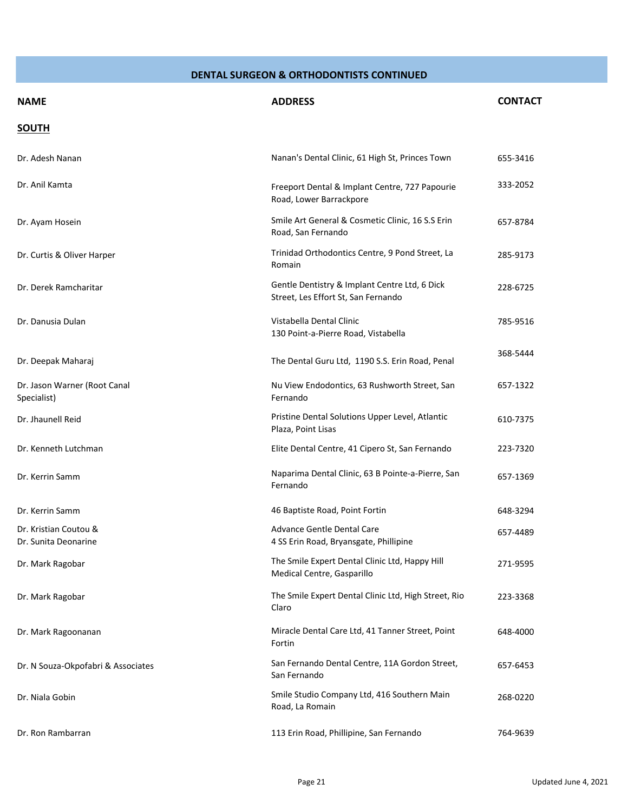| <b>NAME</b>                                   | <b>ADDRESS</b>                                                                       | <b>CONTACT</b> |
|-----------------------------------------------|--------------------------------------------------------------------------------------|----------------|
| <b>SOUTH</b>                                  |                                                                                      |                |
| Dr. Adesh Nanan                               | Nanan's Dental Clinic, 61 High St, Princes Town                                      | 655-3416       |
| Dr. Anil Kamta                                | Freeport Dental & Implant Centre, 727 Papourie<br>Road, Lower Barrackpore            | 333-2052       |
| Dr. Ayam Hosein                               | Smile Art General & Cosmetic Clinic, 16 S.S Erin<br>Road, San Fernando               | 657-8784       |
| Dr. Curtis & Oliver Harper                    | Trinidad Orthodontics Centre, 9 Pond Street, La<br>Romain                            | 285-9173       |
| Dr. Derek Ramcharitar                         | Gentle Dentistry & Implant Centre Ltd, 6 Dick<br>Street, Les Effort St, San Fernando | 228-6725       |
| Dr. Danusia Dulan                             | Vistabella Dental Clinic<br>130 Point-a-Pierre Road, Vistabella                      | 785-9516       |
| Dr. Deepak Maharaj                            | The Dental Guru Ltd, 1190 S.S. Erin Road, Penal                                      | 368-5444       |
| Dr. Jason Warner (Root Canal<br>Specialist)   | Nu View Endodontics, 63 Rushworth Street, San<br>Fernando                            | 657-1322       |
| Dr. Jhaunell Reid                             | Pristine Dental Solutions Upper Level, Atlantic<br>Plaza, Point Lisas                | 610-7375       |
| Dr. Kenneth Lutchman                          | Elite Dental Centre, 41 Cipero St, San Fernando                                      | 223-7320       |
| Dr. Kerrin Samm                               | Naparima Dental Clinic, 63 B Pointe-a-Pierre, San<br>Fernando                        | 657-1369       |
| Dr. Kerrin Samm                               | 46 Baptiste Road, Point Fortin                                                       | 648-3294       |
| Dr. Kristian Coutou &<br>Dr. Sunita Deonarine | Advance Gentle Dental Care<br>4 SS Erin Road, Bryansgate, Phillipine                 | 657-4489       |
| Dr. Mark Ragobar                              | The Smile Expert Dental Clinic Ltd, Happy Hill<br>Medical Centre, Gasparillo         | 271-9595       |
| Dr. Mark Ragobar                              | The Smile Expert Dental Clinic Ltd, High Street, Rio<br>Claro                        | 223-3368       |
| Dr. Mark Ragoonanan                           | Miracle Dental Care Ltd, 41 Tanner Street, Point<br>Fortin                           | 648-4000       |
| Dr. N Souza-Okpofabri & Associates            | San Fernando Dental Centre, 11A Gordon Street,<br>San Fernando                       | 657-6453       |
| Dr. Niala Gobin                               | Smile Studio Company Ltd, 416 Southern Main<br>Road, La Romain                       | 268-0220       |
| Dr. Ron Rambarran                             | 113 Erin Road, Phillipine, San Fernando                                              | 764-9639       |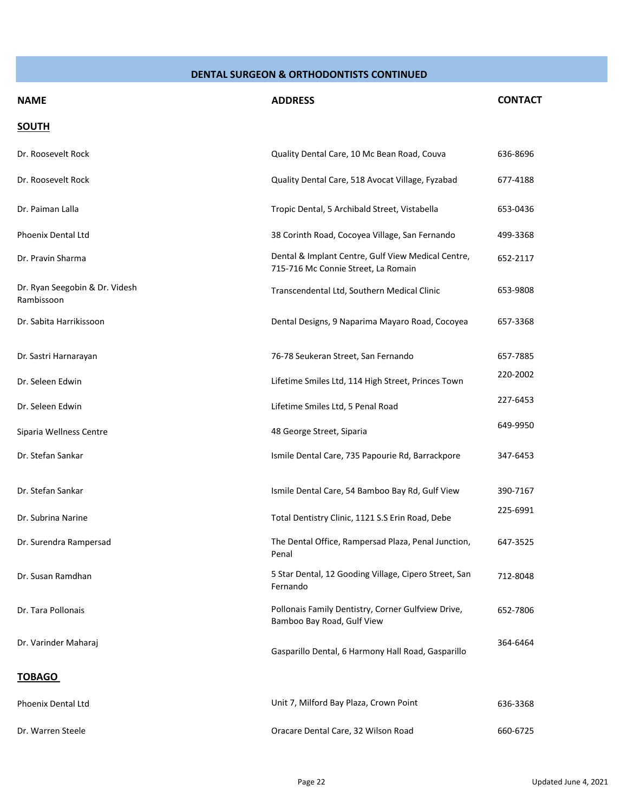| <b>NAME</b>                                  | <b>ADDRESS</b>                                                                            | <b>CONTACT</b> |
|----------------------------------------------|-------------------------------------------------------------------------------------------|----------------|
| <b>SOUTH</b>                                 |                                                                                           |                |
| Dr. Roosevelt Rock                           | Quality Dental Care, 10 Mc Bean Road, Couva                                               | 636-8696       |
| Dr. Roosevelt Rock                           | Quality Dental Care, 518 Avocat Village, Fyzabad                                          | 677-4188       |
| Dr. Paiman Lalla                             | Tropic Dental, 5 Archibald Street, Vistabella                                             | 653-0436       |
| Phoenix Dental Ltd                           | 38 Corinth Road, Cocoyea Village, San Fernando                                            | 499-3368       |
| Dr. Pravin Sharma                            | Dental & Implant Centre, Gulf View Medical Centre,<br>715-716 Mc Connie Street, La Romain | 652-2117       |
| Dr. Ryan Seegobin & Dr. Videsh<br>Rambissoon | Transcendental Ltd, Southern Medical Clinic                                               | 653-9808       |
| Dr. Sabita Harrikissoon                      | Dental Designs, 9 Naparima Mayaro Road, Cocoyea                                           | 657-3368       |
| Dr. Sastri Harnarayan                        | 76-78 Seukeran Street, San Fernando                                                       | 657-7885       |
| Dr. Seleen Edwin                             | Lifetime Smiles Ltd, 114 High Street, Princes Town                                        | 220-2002       |
| Dr. Seleen Edwin                             | Lifetime Smiles Ltd, 5 Penal Road                                                         | 227-6453       |
| Siparia Wellness Centre                      | 48 George Street, Siparia                                                                 | 649-9950       |
| Dr. Stefan Sankar                            | Ismile Dental Care, 735 Papourie Rd, Barrackpore                                          | 347-6453       |
| Dr. Stefan Sankar                            | Ismile Dental Care, 54 Bamboo Bay Rd, Gulf View                                           | 390-7167       |
| Dr. Subrina Narine                           | Total Dentistry Clinic, 1121 S.S Erin Road, Debe                                          | 225-6991       |
| Dr. Surendra Rampersad                       | The Dental Office, Rampersad Plaza, Penal Junction,<br>Penal                              | 647-3525       |
| Dr. Susan Ramdhan                            | 5 Star Dental, 12 Gooding Village, Cipero Street, San<br>Fernando                         | 712-8048       |
| Dr. Tara Pollonais                           | Pollonais Family Dentistry, Corner Gulfview Drive,<br>Bamboo Bay Road, Gulf View          | 652-7806       |
| Dr. Varinder Maharaj                         | Gasparillo Dental, 6 Harmony Hall Road, Gasparillo                                        | 364-6464       |
| <b>TOBAGO</b>                                |                                                                                           |                |
| Phoenix Dental Ltd                           | Unit 7, Milford Bay Plaza, Crown Point                                                    | 636-3368       |
| Dr. Warren Steele                            | Oracare Dental Care, 32 Wilson Road                                                       | 660-6725       |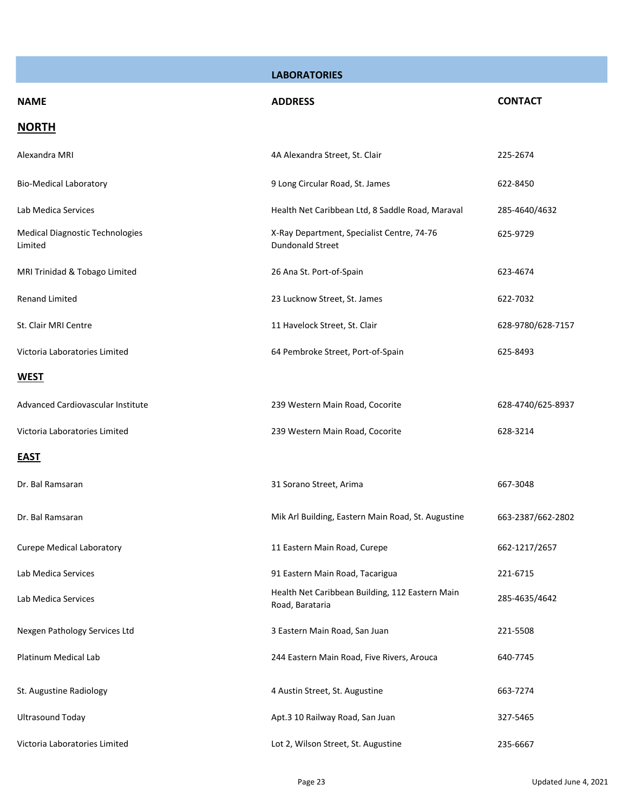|                                            | <b>LABORATORIES</b>                                                   |                   |
|--------------------------------------------|-----------------------------------------------------------------------|-------------------|
| <b>NAME</b>                                | <b>ADDRESS</b>                                                        | <b>CONTACT</b>    |
| <b>NORTH</b>                               |                                                                       |                   |
| Alexandra MRI                              | 4A Alexandra Street, St. Clair                                        | 225-2674          |
| <b>Bio-Medical Laboratory</b>              | 9 Long Circular Road, St. James                                       | 622-8450          |
| Lab Medica Services                        | Health Net Caribbean Ltd, 8 Saddle Road, Maraval                      | 285-4640/4632     |
| Medical Diagnostic Technologies<br>Limited | X-Ray Department, Specialist Centre, 74-76<br><b>Dundonald Street</b> | 625-9729          |
| MRI Trinidad & Tobago Limited              | 26 Ana St. Port-of-Spain                                              | 623-4674          |
| <b>Renand Limited</b>                      | 23 Lucknow Street, St. James                                          | 622-7032          |
| St. Clair MRI Centre                       | 11 Havelock Street, St. Clair                                         | 628-9780/628-7157 |
| Victoria Laboratories Limited              | 64 Pembroke Street, Port-of-Spain                                     | 625-8493          |
| <b>WEST</b>                                |                                                                       |                   |
| Advanced Cardiovascular Institute          | 239 Western Main Road, Cocorite                                       | 628-4740/625-8937 |
| Victoria Laboratories Limited              | 239 Western Main Road, Cocorite                                       | 628-3214          |
| <b>EAST</b>                                |                                                                       |                   |
| Dr. Bal Ramsaran                           | 31 Sorano Street, Arima                                               | 667-3048          |
| Dr. Bal Ramsaran                           | Mik Arl Building, Eastern Main Road, St. Augustine                    | 663-2387/662-2802 |
| <b>Curepe Medical Laboratory</b>           | 11 Eastern Main Road, Curepe                                          | 662-1217/2657     |
| Lab Medica Services                        | 91 Eastern Main Road, Tacarigua                                       | 221-6715          |
| Lab Medica Services                        | Health Net Caribbean Building, 112 Eastern Main<br>Road, Barataria    | 285-4635/4642     |
| Nexgen Pathology Services Ltd              | 3 Eastern Main Road, San Juan                                         | 221-5508          |
| Platinum Medical Lab                       | 244 Eastern Main Road, Five Rivers, Arouca                            | 640-7745          |
| St. Augustine Radiology                    | 4 Austin Street, St. Augustine                                        | 663-7274          |
| <b>Ultrasound Today</b>                    | Apt.3 10 Railway Road, San Juan                                       | 327-5465          |
| Victoria Laboratories Limited              | Lot 2, Wilson Street, St. Augustine                                   | 235-6667          |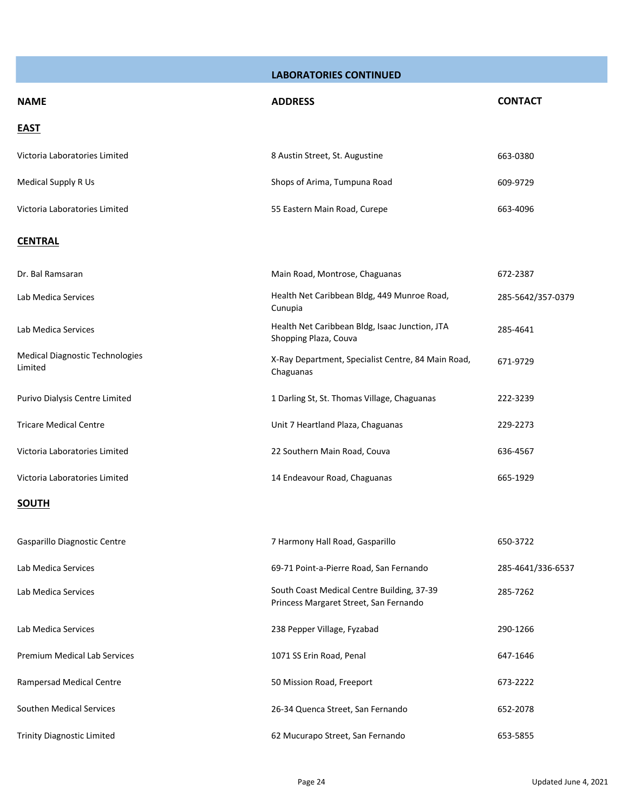**LABORATORIES CONTINUED**

| <b>NAME</b>                                       | <b>ADDRESS</b>                                                                       | <b>CONTACT</b>    |
|---------------------------------------------------|--------------------------------------------------------------------------------------|-------------------|
| <b>EAST</b>                                       |                                                                                      |                   |
| Victoria Laboratories Limited                     | 8 Austin Street, St. Augustine                                                       | 663-0380          |
| Medical Supply R Us                               | Shops of Arima, Tumpuna Road                                                         | 609-9729          |
| Victoria Laboratories Limited                     | 55 Eastern Main Road, Curepe                                                         | 663-4096          |
| <b>CENTRAL</b>                                    |                                                                                      |                   |
| Dr. Bal Ramsaran                                  | Main Road, Montrose, Chaguanas                                                       | 672-2387          |
| Lab Medica Services                               | Health Net Caribbean Bldg, 449 Munroe Road,<br>Cunupia                               | 285-5642/357-0379 |
| Lab Medica Services                               | Health Net Caribbean Bldg, Isaac Junction, JTA<br>Shopping Plaza, Couva              | 285-4641          |
| <b>Medical Diagnostic Technologies</b><br>Limited | X-Ray Department, Specialist Centre, 84 Main Road,<br>Chaguanas                      | 671-9729          |
| Purivo Dialysis Centre Limited                    | 1 Darling St, St. Thomas Village, Chaguanas                                          | 222-3239          |
| <b>Tricare Medical Centre</b>                     | Unit 7 Heartland Plaza, Chaguanas                                                    | 229-2273          |
| Victoria Laboratories Limited                     | 22 Southern Main Road, Couva                                                         | 636-4567          |
| Victoria Laboratories Limited                     | 14 Endeavour Road, Chaguanas                                                         | 665-1929          |
| <b>SOUTH</b>                                      |                                                                                      |                   |
| Gasparillo Diagnostic Centre                      | 7 Harmony Hall Road, Gasparillo                                                      | 650-3722          |
| Lab Medica Services                               | 69-71 Point-a-Pierre Road, San Fernando                                              | 285-4641/336-6537 |
| Lab Medica Services                               | South Coast Medical Centre Building, 37-39<br>Princess Margaret Street, San Fernando | 285-7262          |
| Lab Medica Services                               | 238 Pepper Village, Fyzabad                                                          | 290-1266          |
| Premium Medical Lab Services                      | 1071 SS Erin Road, Penal                                                             | 647-1646          |
| Rampersad Medical Centre                          | 50 Mission Road, Freeport                                                            | 673-2222          |
| Southen Medical Services                          | 26-34 Quenca Street, San Fernando                                                    | 652-2078          |
| <b>Trinity Diagnostic Limited</b>                 | 62 Mucurapo Street, San Fernando                                                     | 653-5855          |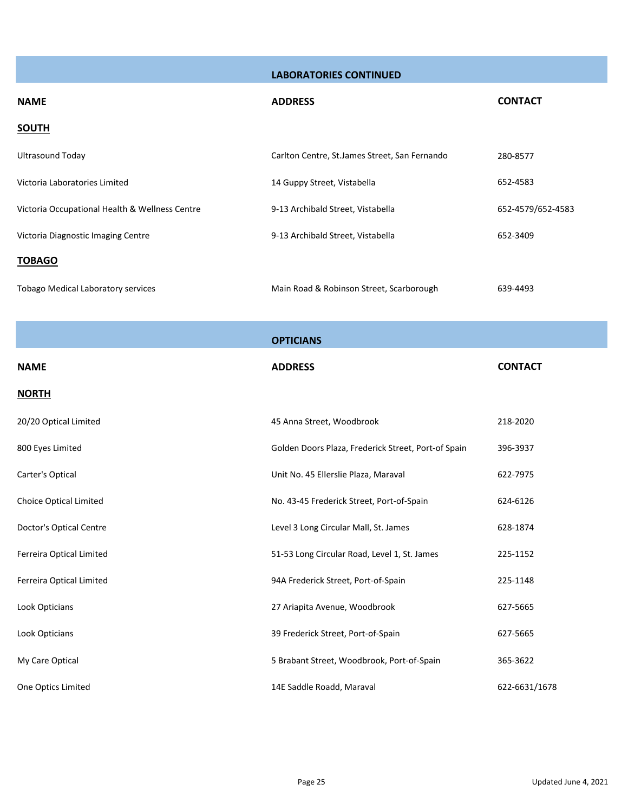**LABORATORIES CONTINUED**

| <b>NAME</b>                                    | <b>ADDRESS</b>                                 | <b>CONTACT</b>    |
|------------------------------------------------|------------------------------------------------|-------------------|
| <b>SOUTH</b>                                   |                                                |                   |
| <b>Ultrasound Today</b>                        | Carlton Centre, St. James Street, San Fernando | 280-8577          |
| Victoria Laboratories Limited                  | 14 Guppy Street, Vistabella                    | 652-4583          |
| Victoria Occupational Health & Wellness Centre | 9-13 Archibald Street, Vistabella              | 652-4579/652-4583 |
| Victoria Diagnostic Imaging Centre             | 9-13 Archibald Street, Vistabella              | 652-3409          |
| <b>TOBAGO</b>                                  |                                                |                   |
| <b>Tobago Medical Laboratory services</b>      | Main Road & Robinson Street, Scarborough       | 639-4493          |

|                               | <b>OPTICIANS</b>                                    |                |
|-------------------------------|-----------------------------------------------------|----------------|
| <b>NAME</b>                   | <b>ADDRESS</b>                                      | <b>CONTACT</b> |
| <b>NORTH</b>                  |                                                     |                |
| 20/20 Optical Limited         | 45 Anna Street, Woodbrook                           | 218-2020       |
| 800 Eyes Limited              | Golden Doors Plaza, Frederick Street, Port-of Spain | 396-3937       |
| Carter's Optical              | Unit No. 45 Ellerslie Plaza, Maraval                | 622-7975       |
| <b>Choice Optical Limited</b> | No. 43-45 Frederick Street, Port-of-Spain           | 624-6126       |
| Doctor's Optical Centre       | Level 3 Long Circular Mall, St. James               | 628-1874       |
| Ferreira Optical Limited      | 51-53 Long Circular Road, Level 1, St. James        | 225-1152       |
| Ferreira Optical Limited      | 94A Frederick Street, Port-of-Spain                 | 225-1148       |
| Look Opticians                | 27 Ariapita Avenue, Woodbrook                       | 627-5665       |
| Look Opticians                | 39 Frederick Street, Port-of-Spain                  | 627-5665       |
| My Care Optical               | 5 Brabant Street, Woodbrook, Port-of-Spain          | 365-3622       |
| One Optics Limited            | 14E Saddle Roadd, Maraval                           | 622-6631/1678  |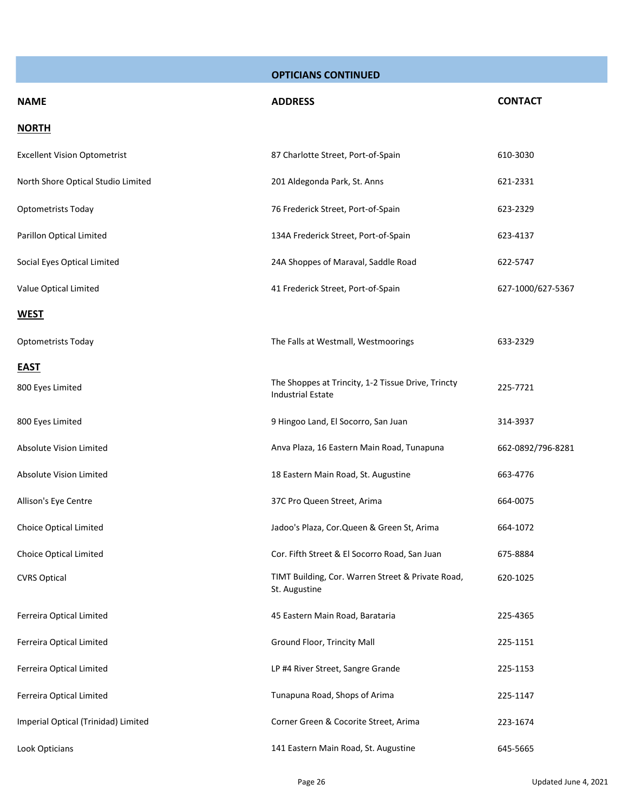| <b>NAME</b>                         | <b>ADDRESS</b>                                                                 | <b>CONTACT</b>    |
|-------------------------------------|--------------------------------------------------------------------------------|-------------------|
| <b>NORTH</b>                        |                                                                                |                   |
| <b>Excellent Vision Optometrist</b> | 87 Charlotte Street, Port-of-Spain                                             | 610-3030          |
| North Shore Optical Studio Limited  | 201 Aldegonda Park, St. Anns                                                   | 621-2331          |
| <b>Optometrists Today</b>           | 76 Frederick Street, Port-of-Spain                                             | 623-2329          |
| Parillon Optical Limited            | 134A Frederick Street, Port-of-Spain                                           | 623-4137          |
| Social Eyes Optical Limited         | 24A Shoppes of Maraval, Saddle Road                                            | 622-5747          |
| Value Optical Limited               | 41 Frederick Street, Port-of-Spain                                             | 627-1000/627-5367 |
| <b>WEST</b>                         |                                                                                |                   |
| <b>Optometrists Today</b>           | The Falls at Westmall, Westmoorings                                            | 633-2329          |
| <b>EAST</b><br>800 Eyes Limited     | The Shoppes at Trincity, 1-2 Tissue Drive, Trincty<br><b>Industrial Estate</b> | 225-7721          |
| 800 Eyes Limited                    | 9 Hingoo Land, El Socorro, San Juan                                            | 314-3937          |
| Absolute Vision Limited             | Anva Plaza, 16 Eastern Main Road, Tunapuna                                     | 662-0892/796-8281 |
| <b>Absolute Vision Limited</b>      | 18 Eastern Main Road, St. Augustine                                            | 663-4776          |
| Allison's Eye Centre                | 37C Pro Queen Street, Arima                                                    | 664-0075          |
| Choice Optical Limited              | Jadoo's Plaza, Cor. Queen & Green St, Arima                                    | 664-1072          |
| Choice Optical Limited              | Cor. Fifth Street & El Socorro Road, San Juan                                  | 675-8884          |
| <b>CVRS Optical</b>                 | TIMT Building, Cor. Warren Street & Private Road,<br>St. Augustine             | 620-1025          |
| Ferreira Optical Limited            | 45 Eastern Main Road, Barataria                                                | 225-4365          |
| Ferreira Optical Limited            | Ground Floor, Trincity Mall                                                    | 225-1151          |
| Ferreira Optical Limited            | LP #4 River Street, Sangre Grande                                              | 225-1153          |
| Ferreira Optical Limited            | Tunapuna Road, Shops of Arima                                                  | 225-1147          |
| Imperial Optical (Trinidad) Limited | Corner Green & Cocorite Street, Arima                                          | 223-1674          |
| Look Opticians                      | 141 Eastern Main Road, St. Augustine                                           | 645-5665          |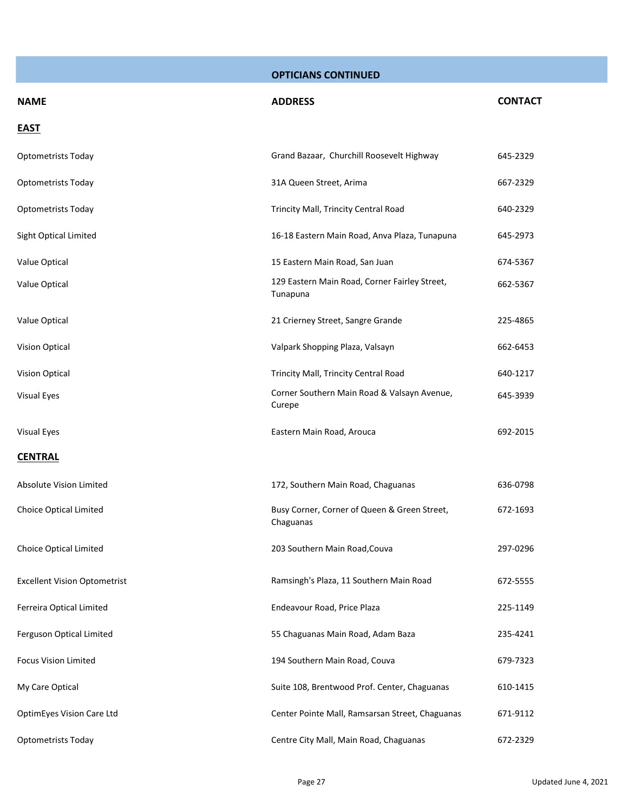| <b>NAME</b>                         | <b>ADDRESS</b>                                            | <b>CONTACT</b> |
|-------------------------------------|-----------------------------------------------------------|----------------|
| <b>EAST</b>                         |                                                           |                |
| <b>Optometrists Today</b>           | Grand Bazaar, Churchill Roosevelt Highway                 | 645-2329       |
| Optometrists Today                  | 31A Queen Street, Arima                                   | 667-2329       |
| <b>Optometrists Today</b>           | Trincity Mall, Trincity Central Road                      | 640-2329       |
| Sight Optical Limited               | 16-18 Eastern Main Road, Anva Plaza, Tunapuna             | 645-2973       |
| Value Optical                       | 15 Eastern Main Road, San Juan                            | 674-5367       |
| Value Optical                       | 129 Eastern Main Road, Corner Fairley Street,<br>Tunapuna | 662-5367       |
| Value Optical                       | 21 Crierney Street, Sangre Grande                         | 225-4865       |
| <b>Vision Optical</b>               | Valpark Shopping Plaza, Valsayn                           | 662-6453       |
| <b>Vision Optical</b>               | Trincity Mall, Trincity Central Road                      | 640-1217       |
| Visual Eyes                         | Corner Southern Main Road & Valsayn Avenue,<br>Curepe     | 645-3939       |
| Visual Eyes                         | Eastern Main Road, Arouca                                 | 692-2015       |
| <b>CENTRAL</b>                      |                                                           |                |
| Absolute Vision Limited             | 172, Southern Main Road, Chaguanas                        | 636-0798       |
| Choice Optical Limited              | Busy Corner, Corner of Queen & Green Street,<br>Chaguanas | 672-1693       |
| Choice Optical Limited              | 203 Southern Main Road, Couva                             | 297-0296       |
| <b>Excellent Vision Optometrist</b> | Ramsingh's Plaza, 11 Southern Main Road                   | 672-5555       |
| Ferreira Optical Limited            | Endeavour Road, Price Plaza                               | 225-1149       |
| Ferguson Optical Limited            | 55 Chaguanas Main Road, Adam Baza                         | 235-4241       |
| <b>Focus Vision Limited</b>         | 194 Southern Main Road, Couva                             | 679-7323       |
| My Care Optical                     | Suite 108, Brentwood Prof. Center, Chaguanas              | 610-1415       |
| OptimEyes Vision Care Ltd           | Center Pointe Mall, Ramsarsan Street, Chaguanas           | 671-9112       |
| Optometrists Today                  | Centre City Mall, Main Road, Chaguanas                    | 672-2329       |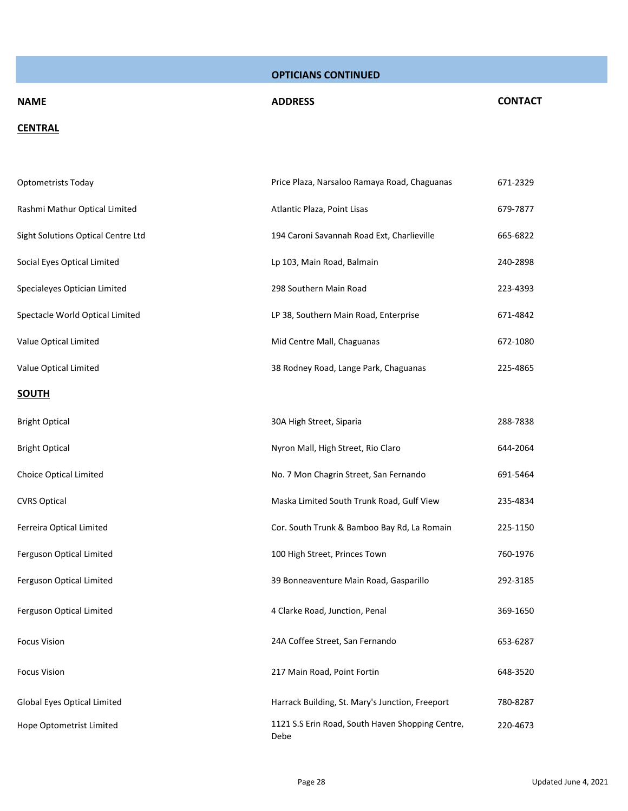# **NAME ADDRESS CONTACT**

#### **CENTRAL**

| <b>Optometrists Today</b>          | Price Plaza, Narsaloo Ramaya Road, Chaguanas             | 671-2329 |
|------------------------------------|----------------------------------------------------------|----------|
| Rashmi Mathur Optical Limited      | Atlantic Plaza, Point Lisas                              | 679-7877 |
| Sight Solutions Optical Centre Ltd | 194 Caroni Savannah Road Ext, Charlieville               | 665-6822 |
| Social Eyes Optical Limited        | Lp 103, Main Road, Balmain                               | 240-2898 |
| Specialeyes Optician Limited       | 298 Southern Main Road                                   | 223-4393 |
| Spectacle World Optical Limited    | LP 38, Southern Main Road, Enterprise                    | 671-4842 |
| Value Optical Limited              | Mid Centre Mall, Chaguanas                               | 672-1080 |
| Value Optical Limited              | 38 Rodney Road, Lange Park, Chaguanas                    | 225-4865 |
| <b>SOUTH</b>                       |                                                          |          |
| <b>Bright Optical</b>              | 30A High Street, Siparia                                 | 288-7838 |
| <b>Bright Optical</b>              | Nyron Mall, High Street, Rio Claro                       | 644-2064 |
| Choice Optical Limited             | No. 7 Mon Chagrin Street, San Fernando                   | 691-5464 |
| <b>CVRS Optical</b>                | Maska Limited South Trunk Road, Gulf View                | 235-4834 |
| Ferreira Optical Limited           | Cor. South Trunk & Bamboo Bay Rd, La Romain              | 225-1150 |
| Ferguson Optical Limited           | 100 High Street, Princes Town                            | 760-1976 |
| Ferguson Optical Limited           | 39 Bonneaventure Main Road, Gasparillo                   | 292-3185 |
| Ferguson Optical Limited           | 4 Clarke Road, Junction, Penal                           | 369-1650 |
| <b>Focus Vision</b>                | 24A Coffee Street, San Fernando                          | 653-6287 |
| <b>Focus Vision</b>                | 217 Main Road, Point Fortin                              | 648-3520 |
| Global Eyes Optical Limited        | Harrack Building, St. Mary's Junction, Freeport          | 780-8287 |
| Hope Optometrist Limited           | 1121 S.S Erin Road, South Haven Shopping Centre,<br>Debe | 220-4673 |